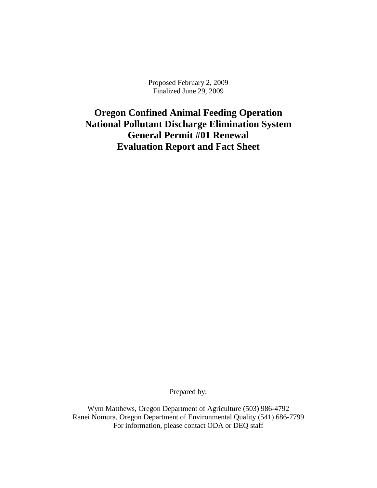Proposed February 2, 2009 Finalized June 29, 2009

**Oregon Confined Animal Feeding Operation National Pollutant Discharge Elimination System General Permit #01 Renewal Evaluation Report and Fact Sheet**

Prepared by:

Wym Matthews, Oregon Department of Agriculture (503) 986-4792 Ranei Nomura, Oregon Department of Environmental Quality (541) 686-7799 For information, please contact ODA or DEQ staff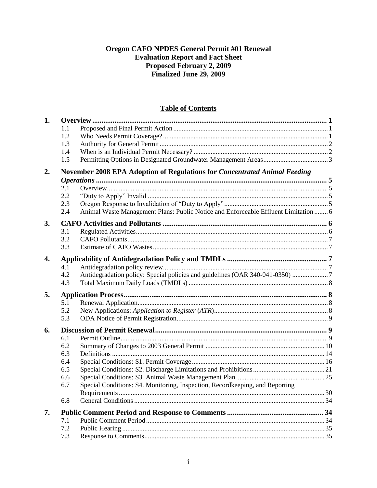# Oregon CAFO NPDES General Permit #01 Renewal **Evaluation Report and Fact Sheet Proposed February 2, 2009**<br>Finalized June 29, 2009

## **Table of Contents**

| 1. |     |                                                                                     |  |
|----|-----|-------------------------------------------------------------------------------------|--|
|    | 1.1 |                                                                                     |  |
|    | 1.2 |                                                                                     |  |
|    | 1.3 |                                                                                     |  |
|    | 1.4 |                                                                                     |  |
|    | 1.5 |                                                                                     |  |
| 2. |     | November 2008 EPA Adoption of Regulations for Concentrated Animal Feeding           |  |
|    |     |                                                                                     |  |
|    | 2.1 |                                                                                     |  |
|    | 2.2 |                                                                                     |  |
|    | 2.3 |                                                                                     |  |
|    | 2.4 | Animal Waste Management Plans: Public Notice and Enforceable Effluent Limitation  6 |  |
| 3. |     |                                                                                     |  |
|    | 3.1 |                                                                                     |  |
|    | 3.2 |                                                                                     |  |
|    | 3.3 |                                                                                     |  |
| 4. |     |                                                                                     |  |
|    | 4.1 |                                                                                     |  |
|    | 4.2 | Antidegradation policy: Special policies and guidelines (OAR 340-041-0350) 7        |  |
|    | 4.3 |                                                                                     |  |
| 5. |     |                                                                                     |  |
|    | 5.1 |                                                                                     |  |
|    | 5.2 |                                                                                     |  |
|    | 5.3 |                                                                                     |  |
| 6. |     |                                                                                     |  |
|    | 6.1 |                                                                                     |  |
|    | 6.2 |                                                                                     |  |
|    | 6.3 |                                                                                     |  |
|    | 6.4 |                                                                                     |  |
|    | 6.5 |                                                                                     |  |
|    | 6.6 |                                                                                     |  |
|    | 6.7 | Special Conditions: S4. Monitoring, Inspection, Recordkeeping, and Reporting        |  |
|    |     |                                                                                     |  |
|    | 6.8 |                                                                                     |  |
| 7. |     |                                                                                     |  |
|    | 7.1 |                                                                                     |  |
|    | 7.2 |                                                                                     |  |
|    | 7.3 |                                                                                     |  |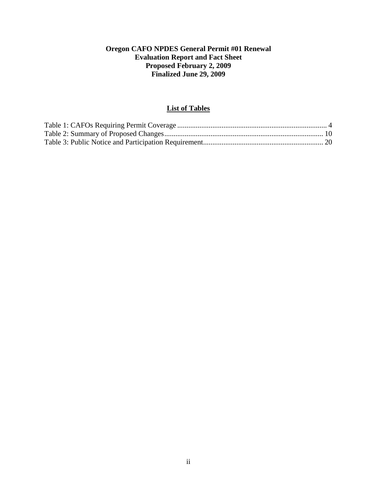## **Oregon CAFO NPDES General Permit #01 Renewal Evaluation Report and Fact Sheet Proposed February 2, 2009 Finalized June 29, 2009**

## **List of Tables**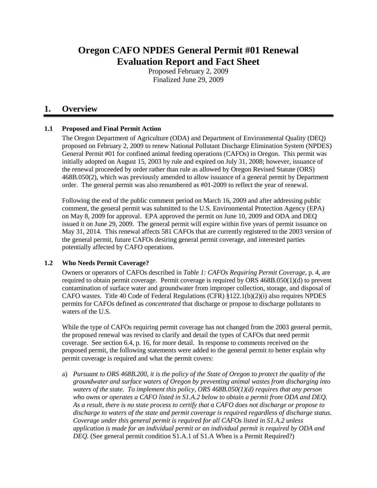# **Oregon CAFO NPDES General Permit #01 Renewal Evaluation Report and Fact Sheet**

Proposed February 2, 2009 Finalized June 29, 2009

## <span id="page-3-0"></span>**1. Overview**

## <span id="page-3-1"></span>**1.1 Proposed and Final Permit Action**

The Oregon Department of Agriculture (ODA) and Department of Environmental Quality (DEQ) proposed on February 2, 2009 to renew National Pollutant Discharge Elimination System (NPDES) General Permit #01 for confined animal feeding operations (CAFOs) in Oregon. This permit was initially adopted on August 15, 2003 by rule and expired on July 31, 2008; however, issuance of the renewal proceeded by order rather than rule as allowed by Oregon Revised Statute (ORS) 468B.050(2), which was previously amended to allow issuance of a general permit by Department order. The general permit was also renumbered as #01-2009 to reflect the year of renewal.

Following the end of the public comment period on March 16, 2009 and after addressing public comment, the general permit was submitted to the U.S. Environmental Protection Agency (EPA) on May 8, 2009 for approval. EPA approved the permit on June 10, 2009 and ODA and DEQ issued it on June 29, 2009. The general permit will expire within five years of permit issuance on May 31, 2014. This renewal affects 581 CAFOs that are currently registered to the 2003 version of the general permit, future CAFOs desiring general permit coverage, and interested parties potentially affected by CAFO operations.

## <span id="page-3-2"></span>**1.2 Who Needs Permit Coverage?**

Owners or operators of CAFOs described in *[Table 1: CAFOs Requiring Permit Coverage](#page-6-0)*, p. [4,](#page-6-0) are required to obtain permit coverage. Permit coverage is required by ORS 468B.050(1)(d) to prevent contamination of surface water and groundwater from improper collection, storage, and disposal of CAFO wastes. Title 40 Code of Federal Regulations (CFR) §122.1(b)(2)(i) also requires NPDES permits for CAFOs defined as *concentrated* that discharge or propose to discharge pollutants to waters of the U.S.

While the type of CAFOs requiring permit coverage has not changed from the 2003 general permit, the proposed renewal was revised to clarify and detail the types of CAFOs that need permit coverage. See section [6.4,](#page-18-0) p. [16,](#page-18-0) for more detail. In response to comments received on the proposed permit, the following statements were added to the general permit to better explain why permit coverage is required and what the permit covers:

a) *Pursuant to ORS 468B.200, it is the policy of the State of Oregon to protect the quality of the groundwater and surface waters of Oregon by preventing animal wastes from discharging into waters of the state. To implement this policy, ORS 468B.050(1)(d) requires that any person who owns or operates a CAFO listed in S1.A.2 below to obtain a permit from ODA and DEQ. As a result, there is no state process to certify that a CAFO does not discharge or propose to discharge to waters of the state and permit coverage is required regardless of discharge status. Coverage under this general permit is required for all CAFOs listed in S1.A.2 unless application is made for an individual permit or an individual permit is required by ODA and DEQ.* (See general permit condition S1.A.1 of S1.A When is a Permit Required?)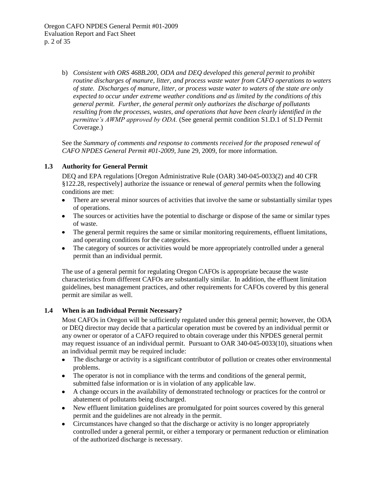b) *Consistent with ORS 468B.200, ODA and DEQ developed this general permit to prohibit routine discharges of manure, litter, and process waste water from CAFO operations to waters of state. Discharges of manure, litter, or process waste water to waters of the state are only expected to occur under extreme weather conditions and as limited by the conditions of this general permit. Further, the general permit only authorizes the discharge of pollutants resulting from the processes, wastes, and operations that have been clearly identified in the permittee's AWMP approved by ODA.* (See general permit condition S1.D.1 of S1.D Permit Coverage.)

See the *Summary of comments and response to comments received for the proposed renewal of CAFO NPDES General Permit #01-2009*, June 29, 2009, for more information.

## <span id="page-4-0"></span>**1.3 Authority for General Permit**

DEQ and EPA regulations [Oregon Administrative Rule (OAR) 340-045-0033(2) and 40 CFR §122.28, respectively] authorize the issuance or renewal of *general* permits when the following conditions are met:

- There are several minor sources of activities that involve the same or substantially similar types  $\bullet$ of operations.
- The sources or activities have the potential to discharge or dispose of the same or similar types  $\bullet$  . of waste.
- The general permit requires the same or similar monitoring requirements, effluent limitations, and operating conditions for the categories.
- The category of sources or activities would be more appropriately controlled under a general permit than an individual permit.

The use of a general permit for regulating Oregon CAFOs is appropriate because the waste characteristics from different CAFOs are substantially similar. In addition, the effluent limitation guidelines, best management practices, and other requirements for CAFOs covered by this general permit are similar as well.

## <span id="page-4-1"></span>**1.4 When is an Individual Permit Necessary?**

Most CAFOs in Oregon will be sufficiently regulated under this general permit; however, the ODA or DEQ director may decide that a particular operation must be covered by an individual permit or any owner or operator of a CAFO required to obtain coverage under this NPDES general permit may request issuance of an individual permit. Pursuant to OAR 340-045-0033(10), situations when an individual permit may be required include:

- The discharge or activity is a significant contributor of pollution or creates other environmental  $\bullet$ problems.
- The operator is not in compliance with the terms and conditions of the general permit, submitted false information or is in violation of any applicable law.
- A change occurs in the availability of demonstrated technology or practices for the control or abatement of pollutants being discharged.
- New effluent limitation guidelines are promulgated for point sources covered by this general  $\bullet$ permit and the guidelines are not already in the permit.
- Circumstances have changed so that the discharge or activity is no longer appropriately  $\bullet$ controlled under a general permit, or either a temporary or permanent reduction or elimination of the authorized discharge is necessary.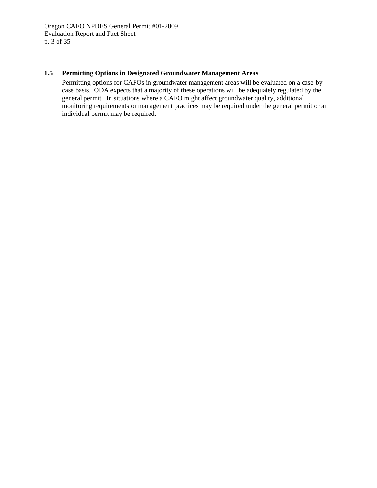## <span id="page-5-0"></span>**1.5 Permitting Options in Designated Groundwater Management Areas**

Permitting options for CAFOs in groundwater management areas will be evaluated on a case-bycase basis. ODA expects that a majority of these operations will be adequately regulated by the general permit. In situations where a CAFO might affect groundwater quality, additional monitoring requirements or management practices may be required under the general permit or an individual permit may be required.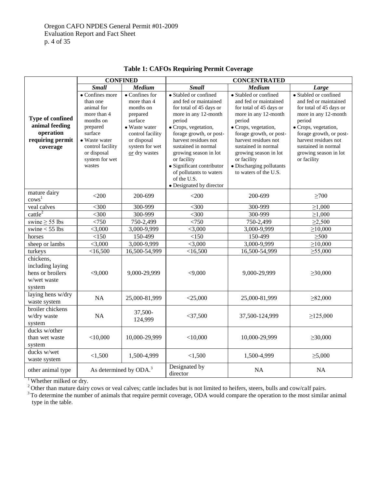<span id="page-6-0"></span>

|                                                                                 | <b>CONFINED</b>                                                                                                                                                              |                                                                                                                                                                  | <b>CONCENTRATED</b>                                                                                                                                                                                                                                                                                                                                      |                                                                                                                                                                                                                                                                                                            |                                                                                                                                                                                                                                                       |  |
|---------------------------------------------------------------------------------|------------------------------------------------------------------------------------------------------------------------------------------------------------------------------|------------------------------------------------------------------------------------------------------------------------------------------------------------------|----------------------------------------------------------------------------------------------------------------------------------------------------------------------------------------------------------------------------------------------------------------------------------------------------------------------------------------------------------|------------------------------------------------------------------------------------------------------------------------------------------------------------------------------------------------------------------------------------------------------------------------------------------------------------|-------------------------------------------------------------------------------------------------------------------------------------------------------------------------------------------------------------------------------------------------------|--|
|                                                                                 | <b>Small</b>                                                                                                                                                                 | <b>Medium</b>                                                                                                                                                    | <b>Small</b>                                                                                                                                                                                                                                                                                                                                             | Medium                                                                                                                                                                                                                                                                                                     | Large                                                                                                                                                                                                                                                 |  |
| Type of confined<br>animal feeding<br>operation<br>requiring permit<br>coverage | • Confines more<br>than one<br>animal for<br>more than 4<br>months on<br>prepared<br>surface<br>• Waste water<br>control facility<br>or disposal<br>system for wet<br>wastes | $\bullet$ Confines for<br>more than 4<br>months on<br>prepared<br>surface<br>• Waste water<br>control facility<br>or disposal<br>system for wet<br>or dry wastes | · Stabled or confined<br>and fed or maintained<br>for total of 45 days or<br>more in any 12-month<br>period<br>· Crops, vegetation,<br>forage growth, or post-<br>harvest residues not<br>sustained in normal<br>growing season in lot<br>or facility<br>· Significant contributor<br>of pollutants to waters<br>of the U.S.<br>• Designated by director | • Stabled or confined<br>and fed or maintained<br>for total of 45 days or<br>more in any 12-month<br>period<br>· Crops, vegetation,<br>forage growth, or post-<br>harvest residues not<br>sustained in normal<br>growing season in lot<br>or facility<br>· Discharging pollutants<br>to waters of the U.S. | • Stabled or confined<br>and fed or maintained<br>for total of 45 days or<br>more in any 12-month<br>period<br>· Crops, vegetation,<br>forage growth, or post-<br>harvest residues not<br>sustained in normal<br>growing season in lot<br>or facility |  |
| mature dairy<br>$\text{cows}^1$                                                 | $<$ 200                                                                                                                                                                      | 200-699                                                                                                                                                          | $<$ 200                                                                                                                                                                                                                                                                                                                                                  | 200-699                                                                                                                                                                                                                                                                                                    | $\geq 700$                                                                                                                                                                                                                                            |  |
| veal calves                                                                     | $<$ 300                                                                                                                                                                      | 300-999                                                                                                                                                          | $<$ 300                                                                                                                                                                                                                                                                                                                                                  | 300-999                                                                                                                                                                                                                                                                                                    | $\geq 1,000$                                                                                                                                                                                                                                          |  |
| cattle <sup>2</sup>                                                             | $<$ 300                                                                                                                                                                      | 300-999                                                                                                                                                          | $<$ 300                                                                                                                                                                                                                                                                                                                                                  | 300-999                                                                                                                                                                                                                                                                                                    | $\geq 1,000$                                                                                                                                                                                                                                          |  |
| swine $\geq$ 55 lbs                                                             | < 750                                                                                                                                                                        | 750-2,499                                                                                                                                                        | < 750                                                                                                                                                                                                                                                                                                                                                    | 750-2,499                                                                                                                                                                                                                                                                                                  | $\geq 2,500$                                                                                                                                                                                                                                          |  |
| swine $<$ 55 lbs                                                                | $<$ 3,000                                                                                                                                                                    | 3,000-9,999                                                                                                                                                      | $<$ 3,000                                                                                                                                                                                                                                                                                                                                                | 3,000-9,999                                                                                                                                                                                                                                                                                                | $\geq 10,000$                                                                                                                                                                                                                                         |  |
| horses                                                                          | <150                                                                                                                                                                         | 150-499                                                                                                                                                          | <150                                                                                                                                                                                                                                                                                                                                                     | 150-499                                                                                                                                                                                                                                                                                                    | $\geq 500$                                                                                                                                                                                                                                            |  |
| sheep or lambs                                                                  | $<$ 3,000                                                                                                                                                                    | 3,000-9,999                                                                                                                                                      | $<$ 3,000                                                                                                                                                                                                                                                                                                                                                | 3,000-9,999                                                                                                                                                                                                                                                                                                | $\geq 10,000$                                                                                                                                                                                                                                         |  |
| turkeys                                                                         | $<$ 16,500                                                                                                                                                                   | 16,500-54,999                                                                                                                                                    | <16,500                                                                                                                                                                                                                                                                                                                                                  | 16,500-54,999                                                                                                                                                                                                                                                                                              | $\geq 55,000$                                                                                                                                                                                                                                         |  |
| chickens,<br>including laying<br>hens or broilers<br>w/wet waste<br>system      | < 9,000                                                                                                                                                                      | 9,000-29,999                                                                                                                                                     | < 9,000                                                                                                                                                                                                                                                                                                                                                  | 9,000-29,999                                                                                                                                                                                                                                                                                               | $\geq 30,000$                                                                                                                                                                                                                                         |  |
| laying hens w/dry<br>waste system                                               | <b>NA</b>                                                                                                                                                                    | 25,000-81,999                                                                                                                                                    | $<$ 25,000                                                                                                                                                                                                                                                                                                                                               | 25,000-81,999                                                                                                                                                                                                                                                                                              | $\geq 82,000$                                                                                                                                                                                                                                         |  |
| broiler chickens<br>w/dry waste<br>system                                       | NA                                                                                                                                                                           | 37,500-<br>124,999                                                                                                                                               | $<$ 37,500                                                                                                                                                                                                                                                                                                                                               | 37,500-124,999                                                                                                                                                                                                                                                                                             | $\geq$ 125,000                                                                                                                                                                                                                                        |  |
| ducks w/other<br>than wet waste<br>system                                       | $<$ 10,000                                                                                                                                                                   | 10,000-29,999                                                                                                                                                    | $<$ 10,000                                                                                                                                                                                                                                                                                                                                               | 10,000-29,999                                                                                                                                                                                                                                                                                              | $\geq 30,000$                                                                                                                                                                                                                                         |  |
| ducks w/wet<br>waste system                                                     | < 1,500                                                                                                                                                                      | 1,500-4,999                                                                                                                                                      | < 1,500                                                                                                                                                                                                                                                                                                                                                  | 1,500-4,999                                                                                                                                                                                                                                                                                                | $\geq 5,000$                                                                                                                                                                                                                                          |  |
| other animal type                                                               | As determined by ODA. <sup>3</sup>                                                                                                                                           |                                                                                                                                                                  | Designated by<br>director                                                                                                                                                                                                                                                                                                                                | NA                                                                                                                                                                                                                                                                                                         | <b>NA</b>                                                                                                                                                                                                                                             |  |

**Table 1: CAFOs Requiring Permit Coverage**

<sup>1</sup>Whether milked or dry.

 $2^2$  Other than mature dairy cows or veal calves; cattle includes but is not limited to heifers, steers, bulls and cow/calf pairs.

<sup>3</sup>To determine the number of animals that require permit coverage, ODA would compare the operation to the most similar animal type in the table.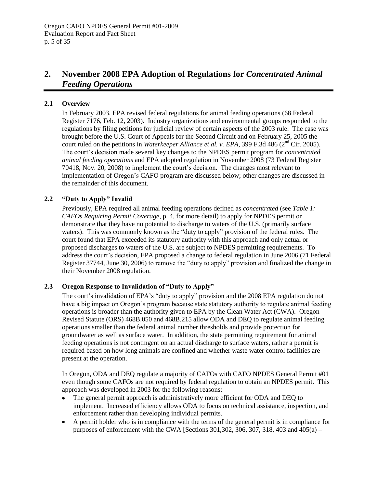## <span id="page-7-0"></span>**2. November 2008 EPA Adoption of Regulations for** *Concentrated Animal Feeding Operations*

## <span id="page-7-1"></span>**2.1 Overview**

In February 2003, EPA revised federal regulations for animal feeding operations (68 Federal Register 7176, Feb. 12, 2003). Industry organizations and environmental groups responded to the regulations by filing petitions for judicial review of certain aspects of the 2003 rule. The case was brought before the U.S. Court of Appeals for the Second Circuit and on February 25, 2005 the court ruled on the petitions in *Waterkeeper Alliance et al. v. EPA*, 399 F.3d 486 (2<sup>nd</sup> Cir. 2005). The court's decision made several key changes to the NPDES permit program for *concentrated animal feeding operations* and EPA adopted regulation in November 2008 (73 Federal Register 70418, Nov. 20, 2008) to implement the court's decision. The changes most relevant to implementation of Oregon's CAFO program are discussed below; other changes are discussed in the remainder of this document.

## <span id="page-7-2"></span>**2.2 "Duty to Apply" Invalid**

Previously, EPA required all animal feeding operations defined as *concentrated* (see *[Table 1:](#page-6-0)  [CAFOs Requiring Permit Coverage](#page-6-0)*, p. [4,](#page-6-0) for more detail) to apply for NPDES permit or demonstrate that they have no potential to discharge to waters of the U.S. (primarily surface waters). This was commonly known as the "duty to apply" provision of the federal rules. The court found that EPA exceeded its statutory authority with this approach and only actual or proposed discharges to waters of the U.S. are subject to NPDES permitting requirements. To address the court's decision, EPA proposed a change to federal regulation in June 2006 (71 Federal Register 37744, June 30, 2006) to remove the "duty to apply" provision and finalized the change in their November 2008 regulation.

## <span id="page-7-3"></span>**2.3 Oregon Response to Invalidation of "Duty to Apply"**

The court's invalidation of EPA's "duty to apply" provision and the 2008 EPA regulation do not have a big impact on Oregon's program because state statutory authority to regulate animal feeding operations is broader than the authority given to EPA by the Clean Water Act (CWA). Oregon Revised Statute (ORS) 468B.050 and 468B.215 allow ODA and DEQ to regulate animal feeding operations smaller than the federal animal number thresholds and provide protection for groundwater as well as surface water. In addition, the state permitting requirement for animal feeding operations is not contingent on an actual discharge to surface waters, rather a permit is required based on how long animals are confined and whether waste water control facilities are present at the operation.

In Oregon, ODA and DEQ regulate a majority of CAFOs with CAFO NPDES General Permit #01 even though some CAFOs are not required by federal regulation to obtain an NPDES permit. This approach was developed in 2003 for the following reasons:

- The general permit approach is administratively more efficient for ODA and DEQ to  $\bullet$ implement. Increased efficiency allows ODA to focus on technical assistance, inspection, and enforcement rather than developing individual permits.
- A permit holder who is in compliance with the terms of the general permit is in compliance for  $\bullet$ purposes of enforcement with the CWA [Sections  $301,302,306,307,318,403$  and  $405(a)$  –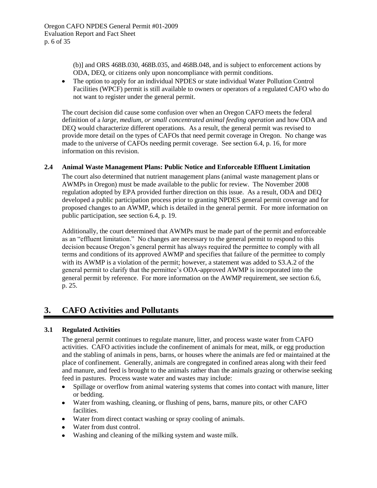(b)] and ORS 468B.030, 468B.035, and 468B.048, and is subject to enforcement actions by ODA, DEQ, or citizens only upon noncompliance with permit conditions.

The option to apply for an individual NPDES or state individual Water Pollution Control Facilities (WPCF) permit is still available to owners or operators of a regulated CAFO who do not want to register under the general permit.

The court decision did cause some confusion over when an Oregon CAFO meets the federal definition of a *large, medium, or small concentrated animal feeding operation* and how ODA and DEQ would characterize different operations. As a result, the general permit was revised to provide more detail on the types of CAFOs that need permit coverage in Oregon. No change was made to the universe of CAFOs needing permit coverage. See section [6.4,](#page-18-0) p. [16,](#page-18-0) for more information on this revision.

## <span id="page-8-0"></span>**2.4 Animal Waste Management Plans: Public Notice and Enforceable Effluent Limitation**

The court also determined that nutrient management plans (animal waste management plans or AWMPs in Oregon) must be made available to the public for review. The November 2008 regulation adopted by EPA provided further direction on this issue. As a result, ODA and DEQ developed a public participation process prior to granting NPDES general permit coverage and for proposed changes to an AWMP, which is detailed in the general permit. For more information on public participation, see section 6.4, p. [19.](#page-21-0)

Additionally, the court determined that AWMPs must be made part of the permit and enforceable as an "effluent limitation." No changes are necessary to the general permit to respond to this decision because Oregon's general permit has always required the permittee to comply with all terms and conditions of its approved AWMP and specifies that failure of the permittee to comply with its AWMP is a violation of the permit; however, a statement was added to S3.A.2 of the general permit to clarify that the permittee's ODA-approved AWMP is incorporated into the general permit by reference. For more information on the AWMP requirement, see sectio[n 6.6,](#page-27-0) p. [25.](#page-27-0)

## <span id="page-8-1"></span>**3. CAFO Activities and Pollutants**

## <span id="page-8-2"></span>**3.1 Regulated Activities**

The general permit continues to regulate manure, litter, and process waste water from CAFO activities. CAFO activities include the confinement of animals for meat, milk, or egg production and the stabling of animals in pens, barns, or houses where the animals are fed or maintained at the place of confinement. Generally, animals are congregated in confined areas along with their feed and manure, and feed is brought to the animals rather than the animals grazing or otherwise seeking feed in pastures. Process waste water and wastes may include:

- Spillage or overflow from animal watering systems that comes into contact with manure, litter  $\bullet$ or bedding.
- Water from washing, cleaning, or flushing of pens, barns, manure pits, or other CAFO facilities.
- Water from direct contact washing or spray cooling of animals.
- Water from dust control.
- Washing and cleaning of the milking system and waste milk.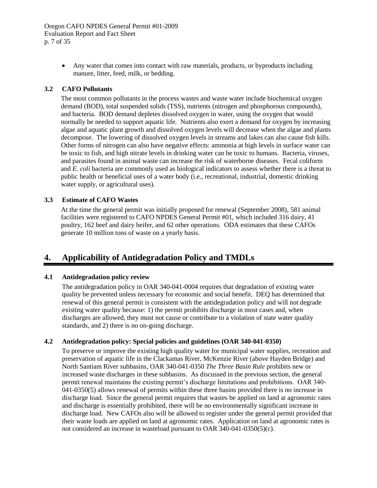Any water that comes into contact with raw materials, products, or byproducts including manure, litter, feed, milk, or bedding.

## <span id="page-9-0"></span>**3.2 CAFO Pollutants**

The most common pollutants in the process wastes and waste water include biochemical oxygen demand (BOD), total suspended solids (TSS), nutrients (nitrogen and phosphorous compounds), and bacteria. BOD demand depletes dissolved oxygen in water, using the oxygen that would normally be needed to support aquatic life. Nutrients also exert a demand for oxygen by increasing algae and aquatic plant growth and dissolved oxygen levels will decrease when the algae and plants decompose. The lowering of dissolved oxygen levels in streams and lakes can also cause fish kills. Other forms of nitrogen can also have negative effects: ammonia at high levels in surface water can be toxic to fish, and high nitrate levels in drinking water can be toxic to humans. Bacteria, viruses, and parasites found in animal waste can increase the risk of waterborne diseases. Fecal coliform and *E. coli* bacteria are commonly used as biological indicators to assess whether there is a threat to public health or beneficial uses of a water body (i.e., recreational, industrial, domestic drinking water supply, or agricultural uses).

#### <span id="page-9-1"></span>**3.3 Estimate of CAFO Wastes**

At the time the general permit was initially proposed for renewal (September 2008), 581 animal facilities were registered to CAFO NPDES General Permit #01, which included 316 dairy, 41 poultry, 162 beef and dairy heifer, and 62 other operations. ODA estimates that these CAFOs generate 10 million tons of waste on a yearly basis.

## <span id="page-9-2"></span>**4. Applicability of Antidegradation Policy and TMDLs**

#### <span id="page-9-3"></span>**4.1 Antidegradation policy review**

The antidegradation policy in OAR 340-041-0004 requires that degradation of existing water quality be prevented unless necessary for economic and social benefit. DEQ has determined that renewal of this general permit is consistent with the antidegradation policy and will not degrade existing water quality because: 1) the permit prohibits discharge in most cases and, when discharges are allowed, they must not cause or contribute to a violation of state water quality standards, and 2) there is no on-going discharge.

#### <span id="page-9-4"></span>**4.2 Antidegradation policy: Special policies and guidelines (OAR 340-041-0350)**

To preserve or improve the existing high quality water for municipal water supplies, recreation and preservation of aquatic life in the Clackamas River, McKenzie River (above Hayden Bridge) and North Santiam River subbasins, OAR 340-041-0350 *The Three Basin Rule* prohibits new or increased waste discharges in these subbasins. As discussed in the previous section, the general permit renewal maintains the existing permit's discharge limitations and prohibitions. OAR 340- 041-0350(5) allows renewal of permits within these three basins provided there is no increase in discharge load. Since the general permit requires that wastes be applied on land at agronomic rates and discharge is essentially prohibited, there will be no environmentally significant increase in discharge load. New CAFOs also will be allowed to register under the general permit provided that their waste loads are applied on land at agronomic rates. Application on land at agronomic rates is not considered an increase in wasteload pursuant to OAR 340-041-0350(5)(c).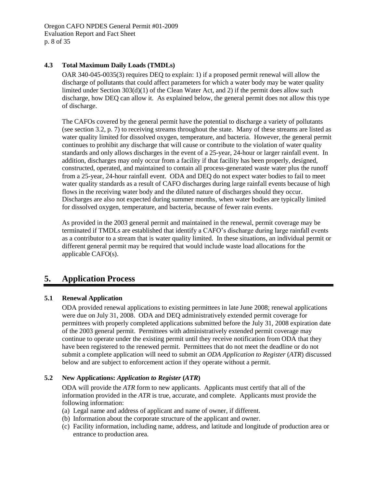## <span id="page-10-0"></span>**4.3 Total Maximum Daily Loads (TMDLs)**

OAR 340-045-0035(3) requires DEQ to explain: 1) if a proposed permit renewal will allow the discharge of pollutants that could affect parameters for which a water body may be water quality limited under Section 303(d)(1) of the Clean Water Act, and 2) if the permit does allow such discharge, how DEQ can allow it. As explained below, the general permit does not allow this type of discharge.

The CAFOs covered by the general permit have the potential to discharge a variety of pollutants (see section [3.2,](#page-9-0) p. [7\)](#page-9-0) to receiving streams throughout the state. Many of these streams are listed as water quality limited for dissolved oxygen, temperature, and bacteria. However, the general permit continues to prohibit any discharge that will cause or contribute to the violation of water quality standards and only allows discharges in the event of a 25-year, 24-hour or larger rainfall event. In addition, discharges may only occur from a facility if that facility has been properly, designed, constructed, operated, and maintained to contain all process-generated waste water plus the runoff from a 25-year, 24-hour rainfall event. ODA and DEQ do not expect water bodies to fail to meet water quality standards as a result of CAFO discharges during large rainfall events because of high flows in the receiving water body and the diluted nature of discharges should they occur. Discharges are also not expected during summer months, when water bodies are typically limited for dissolved oxygen, temperature, and bacteria, because of fewer rain events.

As provided in the 2003 general permit and maintained in the renewal, permit coverage may be terminated if TMDLs are established that identify a CAFO's discharge during large rainfall events as a contributor to a stream that is water quality limited. In these situations, an individual permit or different general permit may be required that would include waste load allocations for the applicable CAFO(s).

## <span id="page-10-1"></span>**5. Application Process**

## <span id="page-10-2"></span>**5.1 Renewal Application**

ODA provided renewal applications to existing permittees in late June 2008; renewal applications were due on July 31, 2008. ODA and DEQ administratively extended permit coverage for permittees with properly completed applications submitted before the July 31, 2008 expiration date of the 2003 general permit. Permittees with administratively extended permit coverage may continue to operate under the existing permit until they receive notification from ODA that they have been registered to the renewed permit. Permittees that do not meet the deadline or do not submit a complete application will need to submit an *ODA Application to Register* (*ATR*) discussed below and are subject to enforcement action if they operate without a permit.

## <span id="page-10-3"></span>**5.2 New Applications:** *Application to Register* **(***ATR***)**

ODA will provide the *ATR* form to new applicants. Applicants must certify that all of the information provided in the *ATR* is true, accurate, and complete. Applicants must provide the following information:

- (a) Legal name and address of applicant and name of owner, if different.
- (b) Information about the corporate structure of the applicant and owner.
- (c) Facility information, including name, address, and latitude and longitude of production area or entrance to production area.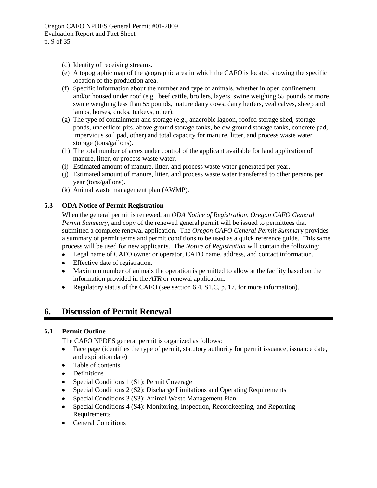- (d) Identity of receiving streams.
- (e) A topographic map of the geographic area in which the CAFO is located showing the specific location of the production area.
- (f) Specific information about the number and type of animals, whether in open confinement and/or housed under roof (e.g., beef cattle, broilers, layers, swine weighing 55 pounds or more, swine weighing less than 55 pounds, mature dairy cows, dairy heifers, veal calves, sheep and lambs, horses, ducks, turkeys, other).
- (g) The type of containment and storage (e.g., anaerobic lagoon, roofed storage shed, storage ponds, underfloor pits, above ground storage tanks, below ground storage tanks, concrete pad, impervious soil pad, other) and total capacity for manure, litter, and process waste water storage (tons/gallons).
- (h) The total number of acres under control of the applicant available for land application of manure, litter, or process waste water.
- (i) Estimated amount of manure, litter, and process waste water generated per year.
- (j) Estimated amount of manure, litter, and process waste water transferred to other persons per year (tons/gallons).
- (k) Animal waste management plan (AWMP).

## <span id="page-11-0"></span>**5.3 ODA Notice of Permit Registration**

When the general permit is renewed, an *ODA Notice of Registration*, *Oregon CAFO General Permit Summary,* and copy of the renewed general permit will be issued to permittees that submitted a complete renewal application. The *Oregon CAFO General Permit Summary* provides a summary of permit terms and permit conditions to be used as a quick reference guide. This same process will be used for new applicants. The *Notice of Registration* will contain the following:

- Legal name of CAFO owner or operator, CAFO name, address, and contact information.
- Effective date of registration.
- Maximum number of animals the operation is permitted to allow at the facility based on the  $\bullet$ information provided in the *ATR* or renewal application.
- Regulatory status of the CAFO (see section 6.4, S1.C, p. [17,](#page-19-0) for more information).

## <span id="page-11-1"></span>**6. Discussion of Permit Renewal**

## <span id="page-11-2"></span>**6.1 Permit Outline**

The CAFO NPDES general permit is organized as follows:

- Face page (identifies the type of permit, statutory authority for permit issuance, issuance date,  $\bullet$ and expiration date)
- Table of contents  $\bullet$
- Definitions
- Special Conditions 1 (S1): Permit Coverage
- Special Conditions 2 (S2): Discharge Limitations and Operating Requirements
- Special Conditions 3 (S3): Animal Waste Management Plan
- Special Conditions 4 (S4): Monitoring, Inspection, Recordkeeping, and Reporting Requirements
- General Conditions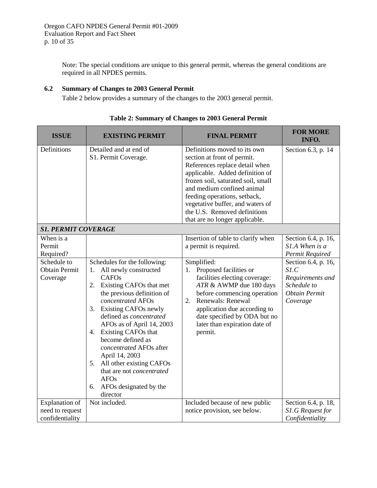Note: The special conditions are unique to this general permit, whereas the general conditions are required in all NPDES permits.

## <span id="page-12-0"></span>**6.2 Summary of Changes to 2003 General Permit**

Table 2 below provides a summary of the changes to the 2003 general permit.

<span id="page-12-1"></span>

| <b>ISSUE</b>                                                            | <b>EXISTING PERMIT</b>                                                                                                                                                                                                                                                                                                                                                                              | <b>FINAL PERMIT</b>                                                                                                                                                                                                                                                                                                                        | <b>FOR MORE</b><br>INFO.                                                                 |
|-------------------------------------------------------------------------|-----------------------------------------------------------------------------------------------------------------------------------------------------------------------------------------------------------------------------------------------------------------------------------------------------------------------------------------------------------------------------------------------------|--------------------------------------------------------------------------------------------------------------------------------------------------------------------------------------------------------------------------------------------------------------------------------------------------------------------------------------------|------------------------------------------------------------------------------------------|
| Definitions                                                             | Detailed and at end of<br>S1. Permit Coverage.                                                                                                                                                                                                                                                                                                                                                      | Definitions moved to its own<br>section at front of permit.<br>References replace detail when<br>applicable. Added definition of<br>frozen soil, saturated soil, small<br>and medium confined animal<br>feeding operations, setback,<br>vegetative buffer, and waters of<br>the U.S. Removed definitions<br>that are no longer applicable. | Section 6.3, p. 14                                                                       |
| <b>S1. PERMIT COVERAGE</b>                                              |                                                                                                                                                                                                                                                                                                                                                                                                     |                                                                                                                                                                                                                                                                                                                                            |                                                                                          |
| When is a<br>Permit<br>Required?<br>Schedule to<br><b>Obtain Permit</b> | Schedules for the following:<br>All newly constructed<br>1.                                                                                                                                                                                                                                                                                                                                         | Insertion of table to clarify when<br>a permit is required.<br>Simplified:<br>Proposed facilities or<br>1.                                                                                                                                                                                                                                 | Section 6.4, p. 16,<br>$SIA$ When is a<br>Permit Required<br>Section 6.4, p. 16,<br>S1.C |
| Coverage                                                                | <b>CAFOs</b><br>Existing CAFOs that met<br>2.<br>the previous definition of<br>concentrated AFOs<br>3. Existing CAFOs newly<br>defined as concentrated<br>AFOs as of April 14, 2003<br>4. Existing CAFOs that<br>become defined as<br>concentrated AFOs after<br>April 14, 2003<br>5. All other existing CAFOs<br>that are not concentrated<br><b>AFOs</b><br>6. AFOs designated by the<br>director | facilities electing coverage:<br>ATR & AWMP due 180 days<br>before commencing operation<br>2. Renewals: Renewal<br>application due according to<br>date specified by ODA but no<br>later than expiration date of<br>permit.                                                                                                                | Requirements and<br>Schedule to<br><b>Obtain Permit</b><br>Coverage                      |
| Explanation of<br>need to request<br>confidentiality                    | Not included.                                                                                                                                                                                                                                                                                                                                                                                       | Included because of new public<br>notice provision, see below.                                                                                                                                                                                                                                                                             | Section 6.4, p. 18,<br>S1.G Request for<br>Confidentiality                               |

|  | Table 2: Summary of Changes to 2003 General Permit |  |  |
|--|----------------------------------------------------|--|--|
|  |                                                    |  |  |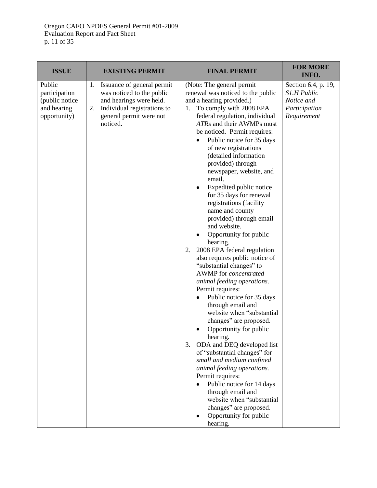| <b>ISSUE</b>                                                             | <b>EXISTING PERMIT</b>                                                                                                                                               | <b>FINAL PERMIT</b>                                                                                                                                                                                                                                                                                                                                                                                                                                                                                                                                                                                                                                                                                                                                                                                                                                                                                                                                                                                                                                                                                                                                                                              | <b>FOR MORE</b><br>INFO.                                                         |
|--------------------------------------------------------------------------|----------------------------------------------------------------------------------------------------------------------------------------------------------------------|--------------------------------------------------------------------------------------------------------------------------------------------------------------------------------------------------------------------------------------------------------------------------------------------------------------------------------------------------------------------------------------------------------------------------------------------------------------------------------------------------------------------------------------------------------------------------------------------------------------------------------------------------------------------------------------------------------------------------------------------------------------------------------------------------------------------------------------------------------------------------------------------------------------------------------------------------------------------------------------------------------------------------------------------------------------------------------------------------------------------------------------------------------------------------------------------------|----------------------------------------------------------------------------------|
| Public<br>participation<br>(public notice<br>and hearing<br>opportunity) | Issuance of general permit<br>1.<br>was noticed to the public<br>and hearings were held.<br>Individual registrations to<br>2.<br>general permit were not<br>noticed. | (Note: The general permit<br>renewal was noticed to the public<br>and a hearing provided.)<br>1. To comply with 2008 EPA<br>federal regulation, individual<br>ATRs and their AWMPs must<br>be noticed. Permit requires:<br>Public notice for 35 days<br>$\bullet$<br>of new registrations<br>(detailed information<br>provided) through<br>newspaper, website, and<br>email.<br>Expedited public notice<br>for 35 days for renewal<br>registrations (facility<br>name and county<br>provided) through email<br>and website.<br>Opportunity for public<br>hearing.<br>2008 EPA federal regulation<br>2.<br>also requires public notice of<br>"substantial changes" to<br>AWMP for concentrated<br>animal feeding operations.<br>Permit requires:<br>Public notice for 35 days<br>through email and<br>website when "substantial<br>changes" are proposed.<br>Opportunity for public<br>hearing.<br>3.<br>ODA and DEQ developed list<br>of "substantial changes" for<br>small and medium confined<br>animal feeding operations.<br>Permit requires:<br>Public notice for 14 days<br>through email and<br>website when "substantial<br>changes" are proposed.<br>Opportunity for public<br>hearing. | Section 6.4, p. 19,<br>S1.H Public<br>Notice and<br>Participation<br>Requirement |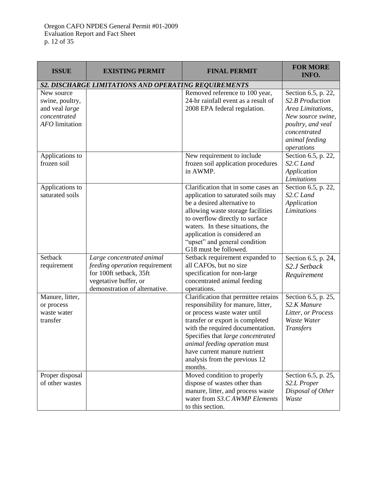| <b>ISSUE</b>                                                                      | <b>EXISTING PERMIT</b>                                                                                                                          | <b>FINAL PERMIT</b>                                                                                                                                                                                                                                                                                                                 | <b>FOR MORE</b><br>INFO.                                                                                                                              |
|-----------------------------------------------------------------------------------|-------------------------------------------------------------------------------------------------------------------------------------------------|-------------------------------------------------------------------------------------------------------------------------------------------------------------------------------------------------------------------------------------------------------------------------------------------------------------------------------------|-------------------------------------------------------------------------------------------------------------------------------------------------------|
| S2. DISCHARGE LIMITATIONS AND OPERATING REQUIREMENTS                              |                                                                                                                                                 |                                                                                                                                                                                                                                                                                                                                     |                                                                                                                                                       |
| New source<br>swine, poultry,<br>and veal large<br>concentrated<br>AFO limitation |                                                                                                                                                 | Removed reference to 100 year,<br>24-hr rainfall event as a result of<br>2008 EPA federal regulation.                                                                                                                                                                                                                               | Section 6.5, p. 22,<br>S2.B Production<br>Area Limitations,<br>New source swine,<br>poultry, and veal<br>concentrated<br>animal feeding<br>operations |
| Applications to<br>frozen soil                                                    |                                                                                                                                                 | New requirement to include<br>frozen soil application procedures<br>in AWMP.                                                                                                                                                                                                                                                        | Section 6.5, p. 22,<br>S <sub>2</sub> .C <sub>Land</sub><br>Application<br>Limitations                                                                |
| Applications to<br>saturated soils                                                |                                                                                                                                                 | Clarification that in some cases an<br>application to saturated soils may<br>be a desired alternative to<br>allowing waste storage facilities<br>to overflow directly to surface<br>waters. In these situations, the<br>application is considered an<br>"upset" and general condition<br>G18 must be followed.                      | Section 6.5, p. 22,<br>S2.C Land<br>Application<br>Limitations                                                                                        |
| Setback<br>requirement                                                            | Large concentrated animal<br>feeding operation requirement<br>for 100ft setback, 35ft<br>vegetative buffer, or<br>demonstration of alternative. | Setback requirement expanded to<br>all CAFOs, but no size<br>specification for non-large<br>concentrated animal feeding<br>operations.                                                                                                                                                                                              | Section 6.5, p. 24,<br>S2.J Setback<br>Requirement                                                                                                    |
| Manure, litter,<br>or process<br>waste water<br>transfer                          |                                                                                                                                                 | Clarification that permittee retains<br>responsibility for manure, litter,<br>or process waste water until<br>transfer or export is completed<br>with the required documentation.<br>Specifies that large concentrated<br>animal feeding operation must<br>have current manure nutrient<br>analysis from the previous 12<br>months. | Section 6.5, p. 25,<br>S2.K Manure<br>Litter, or Process<br>Waste Water<br><b>Transfers</b>                                                           |
| Proper disposal<br>of other wastes                                                |                                                                                                                                                 | Moved condition to properly<br>dispose of wastes other than<br>manure, litter, and process waste<br>water from S3.C AWMP Elements<br>to this section.                                                                                                                                                                               | Section 6.5, p. 25,<br>S2.L Proper<br>Disposal of Other<br>Waste                                                                                      |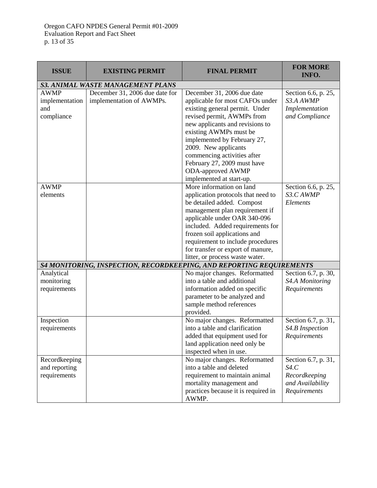| <b>ISSUE</b>                                       | <b>EXISTING PERMIT</b>                                     | <b>FINAL PERMIT</b>                                                                                                                                                                                                                                                                                                                                                     | <b>FOR MORE</b><br>INFO.                                                         |
|----------------------------------------------------|------------------------------------------------------------|-------------------------------------------------------------------------------------------------------------------------------------------------------------------------------------------------------------------------------------------------------------------------------------------------------------------------------------------------------------------------|----------------------------------------------------------------------------------|
|                                                    | <b>S3. ANIMAL WASTE MANAGEMENT PLANS</b>                   |                                                                                                                                                                                                                                                                                                                                                                         |                                                                                  |
| <b>AWMP</b><br>implementation<br>and<br>compliance | December 31, 2006 due date for<br>implementation of AWMPs. | December 31, 2006 due date<br>applicable for most CAFOs under<br>existing general permit. Under<br>revised permit, AWMPs from<br>new applicants and revisions to<br>existing AWMPs must be<br>implemented by February 27,<br>2009. New applicants<br>commencing activities after<br>February 27, 2009 must have<br><b>ODA-approved AWMP</b><br>implemented at start-up. | Section 6.6, p. 25,<br>S3.A AWMP<br>Implementation<br>and Compliance             |
| <b>AWMP</b><br>elements                            |                                                            | More information on land<br>application protocols that need to<br>be detailed added. Compost<br>management plan requirement if<br>applicable under OAR 340-096<br>included. Added requirements for<br>frozen soil applications and<br>requirement to include procedures<br>for transfer or export of manure,<br>litter, or process waste water.                         | Section 6.6, p. 25,<br>S3.C AWMP<br>Elements                                     |
|                                                    |                                                            | S4 MONITORING, INSPECTION, RECORDKEEPING, AND REPORTING REQUIREMENTS                                                                                                                                                                                                                                                                                                    |                                                                                  |
| Analytical<br>monitoring<br>requirements           |                                                            | No major changes. Reformatted<br>into a table and additional<br>information added on specific<br>parameter to be analyzed and<br>sample method references<br>provided.                                                                                                                                                                                                  | Section 6.7, p. 30,<br>S4.A Monitoring<br>Requirements                           |
| Inspection<br>requirements                         |                                                            | No major changes. Reformatted<br>into a table and clarification<br>added that equipment used for<br>land application need only be<br>inspected when in use.                                                                                                                                                                                                             | Section 6.7, p. 31,<br>S4.B Inspection<br>Requirements                           |
| Recordkeeping<br>and reporting<br>requirements     |                                                            | No major changes. Reformatted<br>into a table and deleted<br>requirement to maintain animal<br>mortality management and<br>practices because it is required in<br>AWMP.                                                                                                                                                                                                 | Section 6.7, p. 31,<br>S4.C<br>Recordkeeping<br>and Availability<br>Requirements |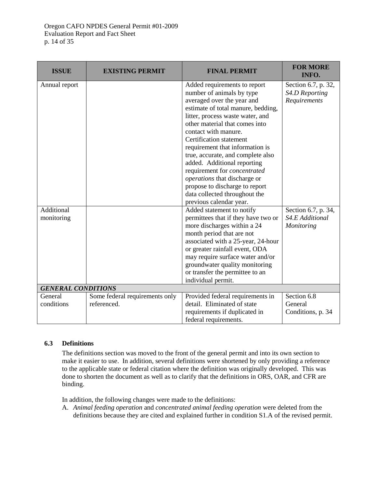| <b>ISSUE</b>              | <b>EXISTING PERMIT</b>         | <b>FINAL PERMIT</b>                                               | <b>FOR MORE</b><br>INFO. |
|---------------------------|--------------------------------|-------------------------------------------------------------------|--------------------------|
| Annual report             |                                | Added requirements to report                                      | Section 6.7, p. 32,      |
|                           |                                | number of animals by type                                         | S4.D Reporting           |
|                           |                                | averaged over the year and                                        | Requirements             |
|                           |                                | estimate of total manure, bedding,                                |                          |
|                           |                                | litter, process waste water, and                                  |                          |
|                           |                                | other material that comes into                                    |                          |
|                           |                                | contact with manure.                                              |                          |
|                           |                                | Certification statement                                           |                          |
|                           |                                | requirement that information is                                   |                          |
|                           |                                | true, accurate, and complete also                                 |                          |
|                           |                                | added. Additional reporting                                       |                          |
|                           |                                | requirement for <i>concentrated</i>                               |                          |
|                           |                                | <i>operations</i> that discharge or                               |                          |
|                           |                                | propose to discharge to report                                    |                          |
|                           |                                | data collected throughout the                                     |                          |
|                           |                                | previous calendar year.                                           |                          |
| Additional                |                                | Added statement to notify                                         | Section 6.7, p. 34,      |
| monitoring                |                                | permittees that if they have two or                               | S4.E Additional          |
|                           |                                | more discharges within a 24                                       | Monitoring               |
|                           |                                | month period that are not                                         |                          |
|                           |                                | associated with a 25-year, 24-hour                                |                          |
|                           |                                | or greater rainfall event, ODA                                    |                          |
|                           |                                | may require surface water and/or                                  |                          |
|                           |                                | groundwater quality monitoring<br>or transfer the permittee to an |                          |
|                           |                                | individual permit.                                                |                          |
| <b>GENERAL CONDITIONS</b> |                                |                                                                   |                          |
| General                   | Some federal requirements only | Provided federal requirements in                                  | Section 6.8              |
| conditions                | referenced.                    | detail. Eliminated of state                                       | General                  |
|                           |                                | requirements if duplicated in                                     | Conditions, p. 34        |
|                           |                                | federal requirements.                                             |                          |

## <span id="page-16-0"></span>**6.3 Definitions**

The definitions section was moved to the front of the general permit and into its own section to make it easier to use. In addition, several definitions were shortened by only providing a reference to the applicable state or federal citation where the definition was originally developed. This was done to shorten the document as well as to clarify that the definitions in ORS, OAR, and CFR are binding.

In addition, the following changes were made to the definitions:

A. *Animal feeding operation* and *concentrated animal feeding operation* were deleted from the definitions because they are cited and explained further in condition S1.A of the revised permit.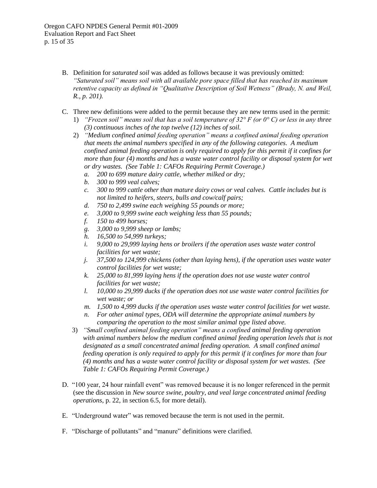- B. Definition for *saturated soil* was added as follows because it was previously omitted: *"Saturated soil" means soil with all available pore space filled that has reached its maximum retentive capacity as defined in "Qualitative Description of Soil Wetness" (Brady, N. and Weil, R., p. 201).*
- C. Three new definitions were added to the permit because they are new terms used in the permit: 1) *"Frozen soil" means soil that has a soil temperature of 32° F (or 0° C) or less in any three* 
	- *(3) continuous inches of the top twelve (12) inches of soil.*
	- 2) *"Medium confined animal feeding operation" means a confined animal feeding operation that meets the animal numbers specified in any of the following categories. A medium confined animal feeding operation is only required to apply for this permit if it confines for more than four (4) months and has a waste water control facility or disposal system for wet or dry wastes. (See Table 1: CAFOs Requiring Permit Coverage.)*
		- *a. 200 to 699 mature dairy cattle, whether milked or dry;*
		- *b. 300 to 999 veal calves;*
		- *c. 300 to 999 cattle other than mature dairy cows or veal calves. Cattle includes but is not limited to heifers, steers, bulls and cow/calf pairs;*
		- *d. 750 to 2,499 swine each weighing 55 pounds or more;*
		- *e. 3,000 to 9,999 swine each weighing less than 55 pounds;*
		- *f. 150 to 499 horses;*
		- *g. 3,000 to 9,999 sheep or lambs;*
		- *h. 16,500 to 54,999 turkeys;*
		- *i. 9,000 to 29,999 laying hens or broilers if the operation uses waste water control facilities for wet waste;*
		- *j. 37,500 to 124,999 chickens (other than laying hens), if the operation uses waste water control facilities for wet waste;*
		- *k. 25,000 to 81,999 laying hens if the operation does not use waste water control facilities for wet waste;*
		- *l. 10,000 to 29,999 ducks if the operation does not use waste water control facilities for wet waste; or*
		- *m. 1,500 to 4,999 ducks if the operation uses waste water control facilities for wet waste.*
		- *n. For other animal types, ODA will determine the appropriate animal numbers by comparing the operation to the most similar animal type listed above.*
	- 3) *"Small confined animal feeding operation" means a confined animal feeding operation with animal numbers below the medium confined animal feeding operation levels that is not designated as a small concentrated animal feeding operation. A small confined animal feeding operation is only required to apply for this permit if it confines for more than four (4) months and has a waste water control facility or disposal system for wet wastes. (See Table 1: CAFOs Requiring Permit Coverage.)*
- D. "100 year, 24 hour rainfall event" was removed because it is no longer referenced in the permit (see the discussion in *New source swine, poultry, and veal large concentrated animal feeding operations*, p. [22,](#page-24-0) in section [6.5,](#page-23-0) for more detail).
- E. "Underground water" was removed because the term is not used in the permit.
- F. "Discharge of pollutants" and "manure" definitions were clarified.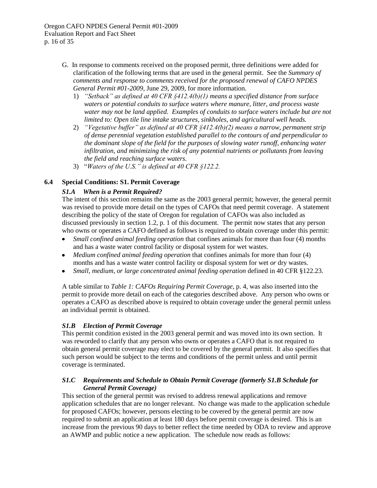Oregon CAFO NPDES General Permit #01-2009 Evaluation Report and Fact Sheet p. 16 of 35

- G. In response to comments received on the proposed permit, three definitions were added for clarification of the following terms that are used in the general permit. See the *Summary of comments and response to comments received for the proposed renewal of CAFO NPDES General Permit #01-2009*, June 29, 2009, for more information.
	- 1) *"Setback" as defined at 40 CFR §412.4(b)(1) means a specified distance from surface waters or potential conduits to surface waters where manure, litter, and process waste water may not be land applied. Examples of conduits to surface waters include but are not limited to: Open tile line intake structures, sinkholes, and agricultural well heads.*
	- 2) *"Vegetative buffer" as defined at 40 CFR §412.4(b)(2) means a narrow, permanent strip of dense perennial vegetation established parallel to the contours of and perpendicular to the dominant slope of the field for the purposes of slowing water runoff, enhancing water infiltration, and minimizing the risk of any potential nutrients or pollutants from leaving the field and reaching surface waters.*
	- 3) "*Waters of the U.S." is defined at 40 CFR §122.2.*

## <span id="page-18-0"></span>**6.4 Special Conditions: S1. Permit Coverage**

## *S1.A When is a Permit Required?*

The intent of this section remains the same as the 2003 general permit; however, the general permit was revised to provide more detail on the types of CAFOs that need permit coverage. A statement describing the policy of the state of Oregon for regulation of CAFOs was also included as discussed previously in section [1.2,](#page-3-2) p. [1](#page-3-2) of this document. The permit now states that any person who owns or operates a CAFO defined as follows is required to obtain coverage under this permit:

- *Small confined animal feeding operation* that confines animals for more than four (4) months and has a waste water control facility or disposal system for wet wastes.
- *Medium confined animal feeding operation* that confines animals for more than four (4) months and has a waste water control facility or disposal system for wet *or* dry wastes.
- *Small, medium, or large concentrated animal feeding operation* defined in 40 CFR §122.23.  $\bullet$

A table similar to *[Table 1: CAFOs Requiring Permit Coverage](#page-6-0)*, p. [4,](#page-6-0) was also inserted into the permit to provide more detail on each of the categories described above. Any person who owns or operates a CAFO as described above is required to obtain coverage under the general permit unless an individual permit is obtained.

## *S1.B Election of Permit Coverage*

This permit condition existed in the 2003 general permit and was moved into its own section. It was reworded to clarify that any person who owns or operates a CAFO that is not required to obtain general permit coverage may elect to be covered by the general permit. It also specifies that such person would be subject to the terms and conditions of the permit unless and until permit coverage is terminated.

## <span id="page-18-1"></span>*S1.C Requirements and Schedule to Obtain Permit Coverage (formerly S1.B Schedule for General Permit Coverage)*

This section of the general permit was revised to address renewal applications and remove application schedules that are no longer relevant. No change was made to the application schedule for proposed CAFOs; however, persons electing to be covered by the general permit are now required to submit an application at least 180 days before permit coverage is desired. This is an increase from the previous 90 days to better reflect the time needed by ODA to review and approve an AWMP and public notice a new application. The schedule now reads as follows: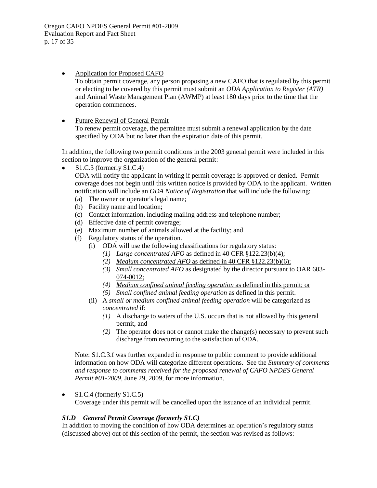- $\bullet$ Application for Proposed CAFO To obtain permit coverage, any person proposing a new CAFO that is regulated by this permit or electing to be covered by this permit must submit an *ODA Application to Register (ATR)*  and Animal Waste Management Plan (AWMP) at least 180 days prior to the time that the operation commences.
- Future Renewal of General Permit  $\bullet$

To renew permit coverage, the permittee must submit a renewal application by the date specified by ODA but no later than the expiration date of this permit.

In addition, the following two permit conditions in the 2003 general permit were included in this section to improve the organization of the general permit:

S1.C.3 (formerly S1.C.4)

ODA will notify the applicant in writing if permit coverage is approved or denied. Permit coverage does not begin until this written notice is provided by ODA to the applicant. Written notification will include an *ODA Notice of Registration* that will include the following:

- (a) The owner or operator's legal name;
- (b) Facility name and location;
- (c) Contact information, including mailing address and telephone number;
- (d) Effective date of permit coverage;
- (e) Maximum number of animals allowed at the facility; and
- <span id="page-19-0"></span>(f) Regulatory status of the operation.
	- (i) ODA will use the following classifications for regulatory status:
		- *(1) Large concentrated AFO* as defined in 40 CFR §122.23(b)(4);
		- *(2) Medium concentrated AFO* as defined in 40 CFR §122.23(b)(6);
		- *(3) Small concentrated AFO* as designated by the director pursuant to OAR 603- 074-0012;
		- *(4) Medium confined animal feeding operation* as defined in this permit; or
		- *(5) Small confined animal feeding operation* as defined in this permit.
	- (ii) A *small or medium confined animal feeding operation* will be categorized as *concentrated* if:
		- *(1)* A discharge to waters of the U.S. occurs that is not allowed by this general permit, and
		- *(2)* The operator does not or cannot make the change(s) necessary to prevent such discharge from recurring to the satisfaction of ODA.

Note: S1.C.3.f was further expanded in response to public comment to provide additional information on how ODA will categorize different operations. See the *Summary of comments and response to comments received for the proposed renewal of CAFO NPDES General Permit #01-2009*, June 29, 2009, for more information.

S1.C.4 (formerly S1.C.5)  $\bullet$ 

Coverage under this permit will be cancelled upon the issuance of an individual permit.

## *S1.D General Permit Coverage (formerly S1.C)*

In addition to moving the condition of how ODA determines an operation's regulatory status (discussed above) out of this section of the permit, the section was revised as follows: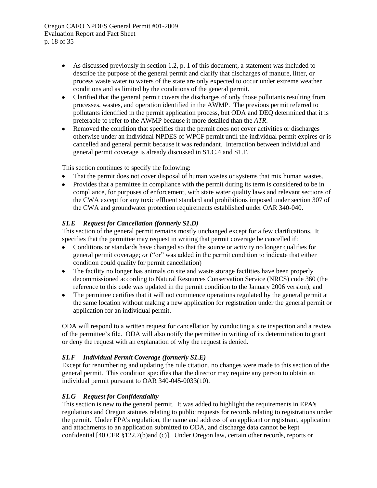Oregon CAFO NPDES General Permit #01-2009 Evaluation Report and Fact Sheet p. 18 of 35

- As discussed previously in section [1.2,](#page-3-2) p. [1](#page-3-2) of this document, a statement was included to  $\bullet$ describe the purpose of the general permit and clarify that discharges of manure, litter, or process waste water to waters of the state are only expected to occur under extreme weather conditions and as limited by the conditions of the general permit.
- Clarified that the general permit covers the discharges of only those pollutants resulting from  $\bullet$ processes, wastes, and operation identified in the AWMP. The previous permit referred to pollutants identified in the permit application process, but ODA and DEQ determined that it is preferable to refer to the AWMP because it more detailed than the *ATR*.
- Removed the condition that specifies that the permit does not cover activities or discharges  $\bullet$ otherwise under an individual NPDES of WPCF permit until the individual permit expires or is cancelled and general permit because it was redundant. Interaction between individual and general permit coverage is already discussed in S1.C.4 and S1.F.

This section continues to specify the following:

- That the permit does not cover disposal of human wastes or systems that mix human wastes.
- $\bullet$ Provides that a permittee in compliance with the permit during its term is considered to be in compliance, for purposes of enforcement, with state water quality laws and relevant sections of the CWA except for any toxic effluent standard and prohibitions imposed under section 307 of the CWA and groundwater protection requirements established under OAR 340-040.

## *S1.E Request for Cancellation (formerly S1.D)*

This section of the general permit remains mostly unchanged except for a few clarifications. It specifies that the permittee may request in writing that permit coverage be cancelled if:

- Conditions or standards have changed so that the source or activity no longer qualifies for general permit coverage; *or* ("or" was added in the permit condition to indicate that either condition could quality for permit cancellation)
- The facility no longer has animals on site and waste storage facilities have been properly decommissioned according to Natural Resources Conservation Service (NRCS) code 360 (the reference to this code was updated in the permit condition to the January 2006 version); and
- The permittee certifies that it will not commence operations regulated by the general permit at  $\bullet$ the same location without making a new application for registration under the general permit or application for an individual permit.

ODA will respond to a written request for cancellation by conducting a site inspection and a review of the permittee's file. ODA will also notify the permittee in writing of its determination to grant or deny the request with an explanation of why the request is denied.

## *S1.F Individual Permit Coverage (formerly S1.E)*

Except for renumbering and updating the rule citation, no changes were made to this section of the general permit. This condition specifies that the director may require any person to obtain an individual permit pursuant to OAR 340-045-0033(10).

## <span id="page-20-0"></span>*S1.G Request for Confidentiality*

This section is new to the general permit. It was added to highlight the requirements in EPA's regulations and Oregon statutes relating to public requests for records relating to registrations under the permit. Under EPA's regulation, the name and address of an applicant or registrant, application and attachments to an application submitted to ODA, and discharge data cannot be kept confidential [40 CFR §122.7(b)and (c)]. Under Oregon law, certain other records, reports or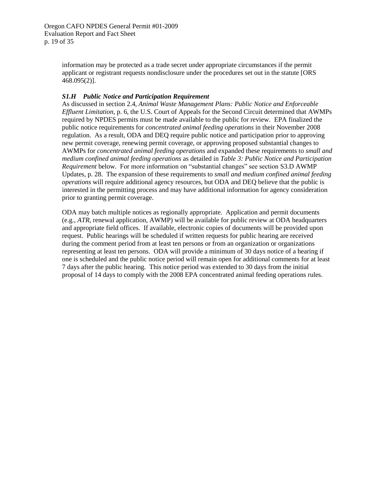information may be protected as a trade secret under appropriate circumstances if the permit applicant or registrant requests nondisclosure under the procedures set out in the statute [ORS 468.095(2)].

## <span id="page-21-0"></span>*S1.H Public Notice and Participation Requirement*

As discussed in section [2.4,](#page-8-0) *[Animal Waste Management Plans: Public Notice and Enforceable](#page-8-0)  [Effluent Limitation](#page-8-0)*, p[. 6,](#page-8-0) the U.S. Court of Appeals for the Second Circuit determined that AWMPs required by NPDES permits must be made available to the public for review. EPA finalized the public notice requirements for *concentrated animal feeding operations* in their November 2008 regulation. As a result, ODA and DEQ require public notice and participation prior to approving new permit coverage, renewing permit coverage, or approving proposed substantial changes to AWMPs for *concentrated animal feeding operations* and expanded these requirements to *small and medium confined animal feeding operations* as detailed in *[Table 3: Public Notice and Participation](#page-22-0)  [Requirement](#page-22-0)* [below.](#page-22-0) For more information on "substantial changes" see section S3.D AWMP Updates, p. [28.](#page-30-0) The expansion of these requirements to *small and medium confined animal feeding operations* will require additional agency resources, but ODA and DEQ believe that the public is interested in the permitting process and may have additional information for agency consideration prior to granting permit coverage.

ODA may batch multiple notices as regionally appropriate. Application and permit documents (e.g., *ATR*, renewal application, AWMP) will be available for public review at ODA headquarters and appropriate field offices. If available, electronic copies of documents will be provided upon request. Public hearings will be scheduled if written requests for public hearing are received during the comment period from at least ten persons or from an organization or organizations representing at least ten persons. ODA will provide a minimum of 30 days notice of a hearing if one is scheduled and the public notice period will remain open for additional comments for at least 7 days after the public hearing. This notice period was extended to 30 days from the initial proposal of 14 days to comply with the 2008 EPA concentrated animal feeding operations rules.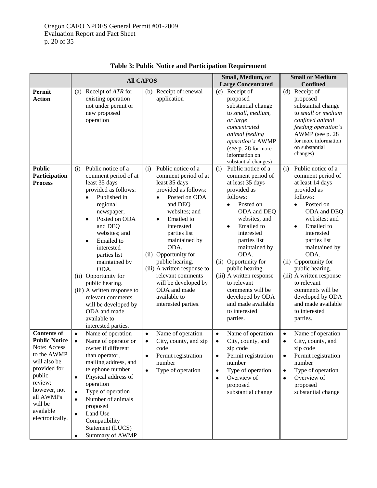<span id="page-22-0"></span>

|                                                                                                                                                                                                        | <b>All CAFOS</b>                                                                                                                                                                                                                                                                                                                                                                                                                                               |                                                                                                                                                                                                                                                                                                                                                                                                    | Small, Medium, or                                                                                                                                                                                                                                                                                                                                                                                                          | <b>Small or Medium</b>                                                                                                                                                                                                                                                                                                                                                                                                        |
|--------------------------------------------------------------------------------------------------------------------------------------------------------------------------------------------------------|----------------------------------------------------------------------------------------------------------------------------------------------------------------------------------------------------------------------------------------------------------------------------------------------------------------------------------------------------------------------------------------------------------------------------------------------------------------|----------------------------------------------------------------------------------------------------------------------------------------------------------------------------------------------------------------------------------------------------------------------------------------------------------------------------------------------------------------------------------------------------|----------------------------------------------------------------------------------------------------------------------------------------------------------------------------------------------------------------------------------------------------------------------------------------------------------------------------------------------------------------------------------------------------------------------------|-------------------------------------------------------------------------------------------------------------------------------------------------------------------------------------------------------------------------------------------------------------------------------------------------------------------------------------------------------------------------------------------------------------------------------|
|                                                                                                                                                                                                        |                                                                                                                                                                                                                                                                                                                                                                                                                                                                |                                                                                                                                                                                                                                                                                                                                                                                                    | <b>Large Concentrated</b>                                                                                                                                                                                                                                                                                                                                                                                                  | <b>Confined</b>                                                                                                                                                                                                                                                                                                                                                                                                               |
| Permit<br><b>Action</b>                                                                                                                                                                                | (a) Receipt of <i>ATR</i> for<br>existing operation<br>not under permit or<br>new proposed<br>operation                                                                                                                                                                                                                                                                                                                                                        | Receipt of renewal<br>(b)<br>application                                                                                                                                                                                                                                                                                                                                                           | Receipt of<br>(c)<br>proposed<br>substantial change<br>to small, medium,<br>or large<br>concentrated<br>animal feeding<br>operation's AWMP<br>(see p. 28 for more<br>information on<br>substantial changes)                                                                                                                                                                                                                | Receipt of<br>(d)<br>proposed<br>substantial change<br>to small or medium<br>confined animal<br>feeding operation's<br>AWMP (see p. 28<br>for more information<br>on substantial<br>changes)                                                                                                                                                                                                                                  |
| <b>Public</b><br>Participation<br><b>Process</b>                                                                                                                                                       | Public notice of a<br>(i)<br>comment period of at<br>least 35 days<br>provided as follows:<br>Published in<br>regional<br>newspaper;<br>Posted on ODA<br>$\bullet$<br>and DEQ<br>websites; and<br>Emailed to<br>$\bullet$<br>interested<br>parties list<br>maintained by<br>ODA.<br>(ii) Opportunity for<br>public hearing.<br>(iii) A written response to<br>relevant comments<br>will be developed by<br>ODA and made<br>available to<br>interested parties. | Public notice of a<br>(i)<br>comment period of at<br>least 35 days<br>provided as follows:<br>Posted on ODA<br>and DEQ<br>websites; and<br>Emailed to<br>٠<br>interested<br>parties list<br>maintained by<br>ODA.<br>Opportunity for<br>(ii)<br>public hearing.<br>(iii) A written response to<br>relevant comments<br>will be developed by<br>ODA and made<br>available to<br>interested parties. | Public notice of a<br>(i)<br>comment period of<br>at least 35 days<br>provided as<br>follows:<br>Posted on<br>$\bullet$<br>ODA and DEQ<br>websites; and<br>Emailed to<br>$\bullet$<br>interested<br>parties list<br>maintained by<br>ODA.<br>(ii) Opportunity for<br>public hearing.<br>(iii) A written response<br>to relevant<br>comments will be<br>developed by ODA<br>and made available<br>to interested<br>parties. | Public notice of a<br>(i)<br>comment period of<br>at least 14 days<br>provided as<br>follows:<br>Posted on<br>$\bullet$<br>ODA and DEQ<br>websites; and<br>Emailed to<br>$\bullet$<br>interested<br>parties list<br>maintained by<br>ODA.<br>Opportunity for<br>(ii)<br>public hearing.<br>(iii) A written response<br>to relevant<br>comments will be<br>developed by ODA<br>and made available<br>to interested<br>parties. |
| <b>Contents of</b><br><b>Public Notice</b><br>Note: Access<br>to the AWMP<br>will also be<br>provided for<br>public<br>review;<br>however, not<br>all AWMPs<br>will be<br>available<br>electronically. | Name of operation<br>$\bullet$<br>Name of operator or<br>$\bullet$<br>owner if different<br>than operator,<br>mailing address, and<br>telephone number<br>Physical address of<br>$\bullet$<br>operation<br>Type of operation<br>$\bullet$<br>Number of animals<br>$\bullet$<br>proposed<br>Land Use<br>$\bullet$<br>Compatibility<br>Statement (LUCS)<br>Summary of AWMP<br>$\bullet$                                                                          | Name of operation<br>$\bullet$<br>City, county, and zip<br>٠<br>code<br>Permit registration<br>٠<br>number<br>Type of operation<br>$\bullet$                                                                                                                                                                                                                                                       | Name of operation<br>$\bullet$<br>City, county, and<br>$\bullet$<br>zip code<br>Permit registration<br>٠<br>number<br>Type of operation<br>$\bullet$<br>Overview of<br>$\bullet$<br>proposed<br>substantial change                                                                                                                                                                                                         | Name of operation<br>$\bullet$<br>City, county, and<br>$\bullet$<br>zip code<br>Permit registration<br>٠<br>number<br>Type of operation<br>$\bullet$<br>Overview of<br>$\bullet$<br>proposed<br>substantial change                                                                                                                                                                                                            |

**Table 3: Public Notice and Participation Requirement**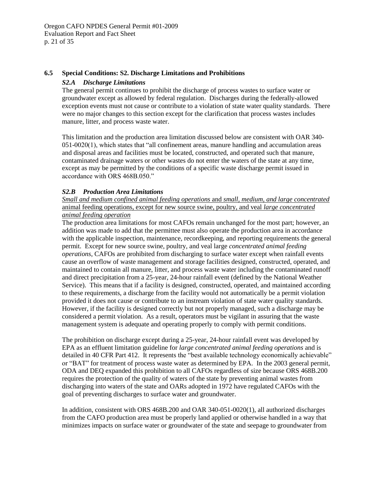## <span id="page-23-0"></span>**6.5 Special Conditions: S2. Discharge Limitations and Prohibitions**

## *S2.A Discharge Limitations*

The general permit continues to prohibit the discharge of process wastes to surface water or groundwater except as allowed by federal regulation. Discharges during the federally-allowed exception events must not cause or contribute to a violation of state water quality standards. There were no major changes to this section except for the clarification that process wastes includes manure, litter, and process waste water.

This limitation and the production area limitation discussed below are consistent with OAR 340- 051-0020(1), which states that "all confinement areas, manure handling and accumulation areas and disposal areas and facilities must be located, constructed, and operated such that manure, contaminated drainage waters or other wastes do not enter the waters of the state at any time, except as may be permitted by the conditions of a specific waste discharge permit issued in accordance with ORS 468B.050."

## *S2.B Production Area Limitations*

*Small and medium confined animal feeding operations* and *small, medium, and large concentrated* animal feeding operations, except for new source swine, poultry, and veal *large concentrated animal feeding operation*

The production area limitations for most CAFOs remain unchanged for the most part; however, an addition was made to add that the permittee must also operate the production area in accordance with the applicable inspection, maintenance, recordkeeping, and reporting requirements the general permit. Except for new source swine, poultry, and veal large *concentrated animal feeding operations*, CAFOs are prohibited from discharging to surface water except when rainfall events cause an overflow of waste management and storage facilities designed, constructed, operated, and maintained to contain all manure, litter, and process waste water including the contaminated runoff and direct precipitation from a 25-year, 24-hour rainfall event (defined by the National Weather Service). This means that if a facility is designed, constructed, operated, and maintained according to these requirements, a discharge from the facility would not automatically be a permit violation provided it does not cause or contribute to an instream violation of state water quality standards. However, if the facility is designed correctly but not properly managed, such a discharge may be considered a permit violation. As a result, operators must be vigilant in assuring that the waste management system is adequate and operating properly to comply with permit conditions.

The prohibition on discharge except during a 25-year, 24-hour rainfall event was developed by EPA as an effluent limitation guideline for *large concentrated animal feeding operations* and is detailed in 40 CFR Part 412. It represents the "best available technology economically achievable" or "BAT" for treatment of process waste water as determined by EPA. In the 2003 general permit, ODA and DEQ expanded this prohibition to all CAFOs regardless of size because ORS 468B.200 requires the protection of the quality of waters of the state by preventing animal wastes from discharging into waters of the state and OARs adopted in 1972 have regulated CAFOs with the goal of preventing discharges to surface water and groundwater.

In addition, consistent with ORS 468B.200 and OAR 340-051-0020(1), all authorized discharges from the CAFO production area must be properly land applied or otherwise handled in a way that minimizes impacts on surface water or groundwater of the state and seepage to groundwater from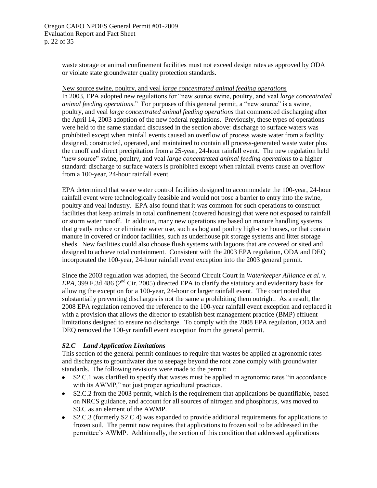waste storage or animal confinement facilities must not exceed design rates as approved by ODA or violate state groundwater quality protection standards.

#### <span id="page-24-0"></span>New source swine, poultry, and veal *large concentrated animal feeding operations*

In 2003, EPA adopted new regulations for "new source swine, poultry, and veal *large concentrated animal feeding operations*." For purposes of this general permit, a "new source" is a swine, poultry, and veal *large concentrated animal feeding operations* that commenced discharging after the April 14, 2003 adoption of the new federal regulations. Previously, these types of operations were held to the same standard discussed in the section above: discharge to surface waters was prohibited except when rainfall events caused an overflow of process waste water from a facility designed, constructed, operated, and maintained to contain all process-generated waste water plus the runoff and direct precipitation from a 25-year, 24-hour rainfall event. The new regulation held "new source" swine, poultry, and veal *large concentrated animal feeding operations* to a higher standard: discharge to surface waters is prohibited except when rainfall events cause an overflow from a 100-year, 24-hour rainfall event.

EPA determined that waste water control facilities designed to accommodate the 100-year, 24-hour rainfall event were technologically feasible and would not pose a barrier to entry into the swine, poultry and veal industry. EPA also found that it was common for such operations to construct facilities that keep animals in total confinement (covered housing) that were not exposed to rainfall or storm water runoff. In addition, many new operations are based on manure handling systems that greatly reduce or eliminate water use, such as hog and poultry high-rise houses, or that contain manure in covered or indoor facilities, such as underhouse pit storage systems and litter storage sheds. New facilities could also choose flush systems with lagoons that are covered or sited and designed to achieve total containment. Consistent with the 2003 EPA regulation, ODA and DEQ incorporated the 100-year, 24-hour rainfall event exception into the 2003 general permit.

Since the 2003 regulation was adopted, the Second Circuit Court in *Waterkeeper Alliance et al. v. EPA*, 399 F.3d 486 ( $2<sup>nd</sup>$  Cir. 2005) directed EPA to clarify the statutory and evidentiary basis for allowing the exception for a 100-year, 24-hour or larger rainfall event. The court noted that substantially preventing discharges is not the same a prohibiting them outright. As a result, the 2008 EPA regulation removed the reference to the 100-year rainfall event exception and replaced it with a provision that allows the director to establish best management practice (BMP) effluent limitations designed to ensure no discharge. To comply with the 2008 EPA regulation, ODA and DEQ removed the 100-yr rainfall event exception from the general permit.

## <span id="page-24-1"></span>*S2.C Land Application Limitations*

This section of the general permit continues to require that wastes be applied at agronomic rates and discharges to groundwater due to seepage beyond the root zone comply with groundwater standards. The following revisions were made to the permit:

- S2.C.1 was clarified to specify that wastes must be applied in agronomic rates "in accordance  $\bullet$ with its AWMP," not just proper agricultural practices.
- S2.C.2 from the 2003 permit, which is the requirement that applications be quantifiable, based on NRCS guidance, and account for all sources of nitrogen and phosphorus, was moved to S3.C as an element of the AWMP.
- S2.C.3 (formerly S2.C.4) was expanded to provide additional requirements for applications to frozen soil. The permit now requires that applications to frozen soil to be addressed in the permittee's AWMP. Additionally, the section of this condition that addressed applications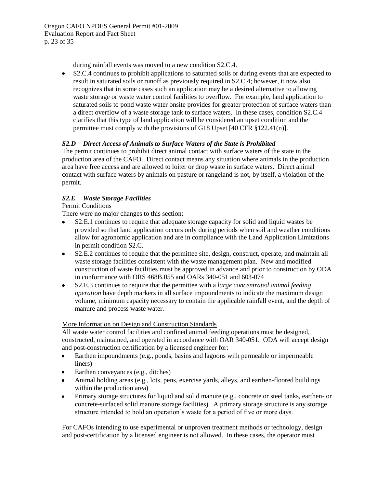during rainfall events was moved to a new condition S2.C.4.

 $\bullet$ S2.C.4 continues to prohibit applications to saturated soils or during events that are expected to result in saturated soils or runoff as previously required in S2.C.4; however, it now also recognizes that in some cases such an application may be a desired alternative to allowing waste storage or waste water control facilities to overflow. For example, land application to saturated soils to pond waste water onsite provides for greater protection of surface waters than a direct overflow of a waste storage tank to surface waters. In these cases, condition S2.C.4 clarifies that this type of land application will be considered an upset condition and the permittee must comply with the provisions of G18 Upset [40 CFR §122.41(n)].

## *S2.D Direct Access of Animals to Surface Waters of the State is Prohibited*

The permit continues to prohibit direct animal contact with surface waters of the state in the production area of the CAFO. Direct contact means any situation where animals in the production area have free access and are allowed to loiter or drop waste in surface waters. Direct animal contact with surface waters by animals on pasture or rangeland is not, by itself, a violation of the permit.

## *S2.E Waste Storage Facilities*

## Permit Conditions

There were no major changes to this section:

- S2.E.1 continues to require that adequate storage capacity for solid and liquid wastes be  $\bullet$ provided so that land application occurs only during periods when soil and weather conditions allow for agronomic application and are in compliance with the Land Application Limitations in permit condition S2.C.
- $\bullet$ S2.E.2 continues to require that the permittee site, design, construct, operate, and maintain all waste storage facilities consistent with the waste management plan. New and modified construction of waste facilities must be approved in advance and prior to construction by ODA in conformance with ORS 468B.055 and OARs 340-051 and 603-074
- S2.E.3 continues to require that the permittee with a *large concentrated animal feeding operation* have depth markers in all surface impoundments to indicate the maximum design volume, minimum capacity necessary to contain the applicable rainfall event, and the depth of manure and process waste water.

## More Information on Design and Construction Standards

All waste water control facilities and confined animal feeding operations must be designed, constructed, maintained, and operated in accordance with OAR 340-051. ODA will accept design and post-construction certification by a licensed engineer for:

- Earthen impoundments (e.g., ponds, basins and lagoons with permeable or impermeable  $\bullet$ liners)
- Earthen conveyances (e.g., ditches)
- Animal holding areas (e.g., lots, pens, exercise yards, alleys, and earthen-floored buildings within the production area)
- Primary storage structures for liquid and solid manure (e.g., concrete or steel tanks, earthen- or  $\bullet$ concrete-surfaced solid manure storage facilities). A primary storage structure is any storage structure intended to hold an operation's waste for a period of five or more days.

For CAFOs intending to use experimental or unproven treatment methods or technology, design and post-certification by a licensed engineer is not allowed. In these cases, the operator must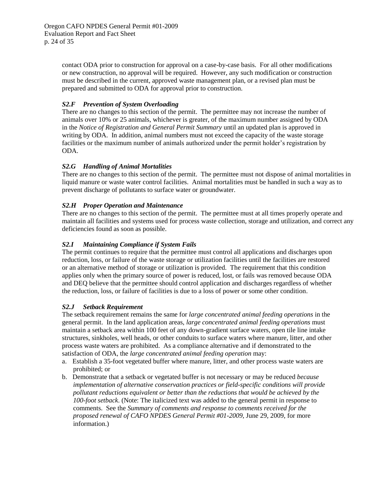contact ODA prior to construction for approval on a case-by-case basis. For all other modifications or new construction, no approval will be required. However, any such modification or construction must be described in the current, approved waste management plan, or a revised plan must be prepared and submitted to ODA for approval prior to construction.

## *S2.F Prevention of System Overloading*

There are no changes to this section of the permit. The permittee may not increase the number of animals over 10% or 25 animals, whichever is greater, of the maximum number assigned by ODA in the *Notice of Registration and General Permit Summary* until an updated plan is approved in writing by ODA. In addition, animal numbers must not exceed the capacity of the waste storage facilities or the maximum number of animals authorized under the permit holder's registration by ODA.

## *S2.G Handling of Animal Mortalities*

There are no changes to this section of the permit. The permittee must not dispose of animal mortalities in liquid manure or waste water control facilities. Animal mortalities must be handled in such a way as to prevent discharge of pollutants to surface water or groundwater.

## *S2.H Proper Operation and Maintenance*

There are no changes to this section of the permit. The permittee must at all times properly operate and maintain all facilities and systems used for process waste collection, storage and utilization, and correct any deficiencies found as soon as possible.

## *S2.I Maintaining Compliance if System Fails*

The permit continues to require that the permittee must control all applications and discharges upon reduction, loss, or failure of the waste storage or utilization facilities until the facilities are restored or an alternative method of storage or utilization is provided. The requirement that this condition applies only when the primary source of power is reduced, lost, or fails was removed because ODA and DEQ believe that the permittee should control application and discharges regardless of whether the reduction, loss, or failure of facilities is due to a loss of power or some other condition.

## <span id="page-26-0"></span>*S2.J Setback Requirement*

The setback requirement remains the same for *large concentrated animal feeding operations* in the general permit. In the land application areas, *large concentrated animal feeding operations* must maintain a setback area within 100 feet of any down-gradient surface waters, open tile line intake structures, sinkholes, well heads, or other conduits to surface waters where manure, litter, and other process waste waters are prohibited. As a compliance alternative and if demonstrated to the satisfaction of ODA, the *large concentrated animal feeding operation* may:

- a. Establish a 35-foot vegetated buffer where manure, litter, and other process waste waters are prohibited; or
- b. Demonstrate that a setback or vegetated buffer is not necessary or may be reduced *because implementation of alternative conservation practices or field-specific conditions will provide pollutant reductions equivalent or better than the reductions that would be achieved by the 100-foot setback*. (Note: The italicized text was added to the general permit in response to comments. See the *Summary of comments and response to comments received for the proposed renewal of CAFO NPDES General Permit #01-2009*, June 29, 2009, for more information.)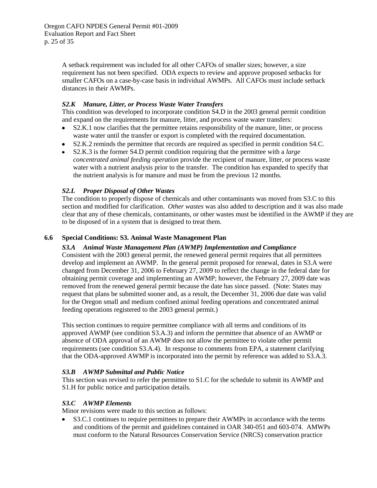A setback requirement was included for all other CAFOs of smaller sizes; however, a size requirement has not been specified. ODA expects to review and approve proposed setbacks for smaller CAFOs on a case-by-case basis in individual AWMPs. All CAFOs must include setback distances in their AWMPs.

## <span id="page-27-1"></span>*S2.K Manure, Litter, or Process Waste Water Transfers*

This condition was developed to incorporate condition S4.D in the 2003 general permit condition and expand on the requirements for manure, litter, and process waste water transfers:

- S2.K.1 now clarifies that the permittee retains responsibility of the manure, litter, or process  $\bullet$ waste water until the transfer or export is completed with the required documentation.
- S2.K.2 reminds the permittee that records are required as specified in permit condition S4.C.
- S2.K.3 is the former S4.D permit condition requiring that the permittee with a *large concentrated animal feeding operation* provide the recipient of manure, litter, or process waste water with a nutrient analysis prior to the transfer. The condition has expanded to specify that the nutrient analysis is for manure and must be from the previous 12 months.

## <span id="page-27-2"></span>*S2.L Proper Disposal of Other Wastes*

The condition to properly dispose of chemicals and other contaminants was moved from S3.C to this section and modified for clarification. *Other wastes* was also added to description and it was also made clear that any of these chemicals, contaminants, or other wastes must be identified in the AWMP if they are to be disposed of in a system that is designed to treat them.

## <span id="page-27-3"></span><span id="page-27-0"></span>**6.6 Special Conditions: S3. Animal Waste Management Plan**

#### *S3.A Animal Waste Management Plan (AWMP) Implementation and Compliance*

Consistent with the 2003 general permit, the renewed general permit requires that all permittees develop and implement an AWMP. In the general permit proposed for renewal, dates in S3.A were changed from December 31, 2006 to February 27, 2009 to reflect the change in the federal date for obtaining permit coverage and implementing an AWMP; however, the February 27, 2009 date was removed from the renewed general permit because the date has since passed. (Note: States may request that plans be submitted sooner and, as a result, the December 31, 2006 due date was valid for the Oregon small and medium confined animal feeding operations and concentrated animal feeding operations registered to the 2003 general permit.)

This section continues to require permittee compliance with all terms and conditions of its approved AWMP (see condition S3.A.3) and inform the permittee that absence of an AWMP or absence of ODA approval of an AWMP does not allow the permittee to violate other permit requirements (see condition S3.A.4). In response to comments from EPA, a statement clarifying that the ODA-approved AWMP is incorporated into the permit by reference was added to S3.A.3.

## *S3.B AWMP Submittal and Public Notice*

This section was revised to refer the permittee to S1.C for the schedule to submit its AWMP and S1.H for public notice and participation details.

## <span id="page-27-4"></span>*S3.C AWMP Elements*

Minor revisions were made to this section as follows:

S3.C.1 continues to require permittees to prepare their AWMPs in accordance with the terms and conditions of the permit and guidelines contained in OAR 340-051 and 603-074. AMWPs must conform to the Natural Resources Conservation Service (NRCS) conservation practice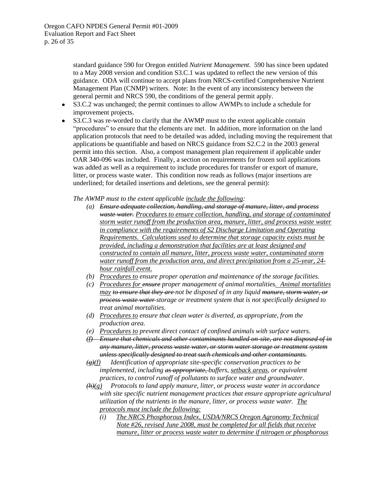standard guidance 590 for Oregon entitled *Nutrient Management*. 590 has since been updated to a May 2008 version and condition S3.C.1 was updated to reflect the new version of this guidance. ODA will continue to accept plans from NRCS-certified Comprehensive Nutrient Management Plan (CNMP) writers. Note: In the event of any inconsistency between the general permit and NRCS 590, the conditions of the general permit apply.

- S3.C.2 was unchanged; the permit continues to allow AWMPs to include a schedule for  $\bullet$ improvement projects.
- S3.C.3 was re-worded to clarify that the AWMP must to the extent applicable contain "procedures" to ensure that the elements are met. In addition, more information on the land application protocols that need to be detailed was added, including moving the requirement that applications be quantifiable and based on NRCS guidance from S2.C.2 in the 2003 general permit into this section. Also, a compost management plan requirement if applicable under OAR 340-096 was included. Finally, a section on requirements for frozen soil applications was added as well as a requirement to include procedures for transfer or export of manure, litter, or process waste water. This condition now reads as follows (major insertions are underlined; for detailed insertions and deletions, see the general permit):

#### *The AWMP must to the extent applicable include the following:*

- *(a) Ensure adequate collection, handling, and storage of manure, litter, and process waste water. Procedures to ensure collection, handling, and storage of contaminated storm water runoff from the production area, manure, litter, and process waste water in compliance with the requirements of S2 Discharge Limitation and Operating Requirements. Calculations used to determine that storage capacity exists must be provided, including a demonstration that facilities are at least designed and constructed to contain all manure, litter, process waste water, contaminated storm water runoff from the production area, and direct precipitation from a 25-year, 24 hour rainfall event.*
- *(b) Procedures to ensure proper operation and maintenance of the storage facilities.*
- *(c) Procedures for ensure proper management of animal mortalities. Animal mortalities may to ensure that they are not be disposed of in any liquid manure, storm water, or process waste water storage or treatment system that is not specifically designed to treat animal mortalities.*
- *(d) Procedures to ensure that clean water is diverted, as appropriate, from the production area.*
- *(e) Procedures to prevent direct contact of confined animals with surface waters.*
- *(f) Ensure that chemicals and other contaminants handled on-site, are not disposed of in any manure, litter, process waste water, or storm water storage or treatment system unless specifically designed to treat such chemicals and other contaminants.*
- *(g)(f) Identification of appropriate site-specific conservation practices to be implemented, including as appropriate, buffers, setback areas, or equivalent practices, to control runoff of pollutants to surface water and groundwater.*
- *(h)(g) Protocols to land apply manure, litter, or process waste water in accordance with site specific nutrient management practices that ensure appropriate agricultural utilization of the nutrients in the manure, litter, or process waste water. The protocols must include the following:*
	- *(i) The NRCS Phosphorous Index, USDA/NRCS Oregon Agronomy Technical Note #26, revised June 2008, must be completed for all fields that receive manure, litter or process waste water to determine if nitrogen or phosphorous*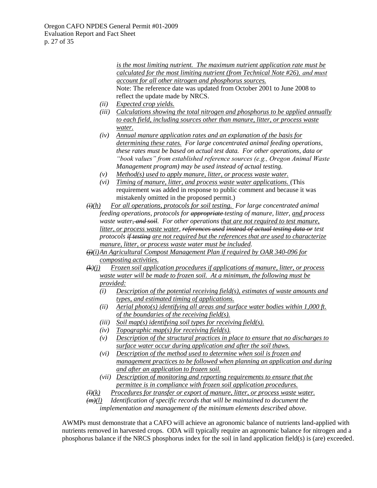*is the most limiting nutrient. The maximum nutrient application rate must be calculated for the most limiting nutrient (from Technical Note #26), and must account for all other nitrogen and phosphorus sources.* Note: The reference date was updated from October 2001 to June 2008 to reflect the update made by NRCS.

- *(ii) Expected crop yields.*
- *(iii) Calculations showing the total nitrogen and phosphorus to be applied annually to each field, including sources other than manure, litter, or process waste water.*
- *(iv) Annual manure application rates and an explanation of the basis for determining these rates. For large concentrated animal feeding operations, these rates must be based on actual test data. For other operations, data or "book values" from established reference sources (e.g., Oregon Animal Waste Management program) may be used instead of actual testing.*
- *(v) Method(s) used to apply manure, litter, or process waste water.*
- *(vi) Timing of manure, litter, and process waste water applications.* (This requirement was added in response to public comment and because it was mistakenly omitted in the proposed permit.)
- *(i)(h) For all operations, protocols for soil testing. For large concentrated animal feeding operations, protocols for appropriate testing of manure, litter, and process waste water, and soil. For other operations that are not required to test manure, litter, or process waste water, references used instead of actual testing data or test protocols if testing are not required but the references that are used to characterize manure, litter, or process waste water must be included.*
- *(j)(i)An Agricultural Compost Management Plan if required by OAR 340-096 for composting activities.*
- *(k)(j) Frozen soil application procedures if applications of manure, litter, or process waste water will be made to frozen soil. At a minimum, the following must be provided:*
	- *(i) Description of the potential receiving field(s), estimates of waste amounts and types, and estimated timing of applications.*
	- *(ii) Aerial photo(s) identifying all areas and surface water bodies within 1,000 ft. of the boundaries of the receiving field(s).*
	- *(iii) Soil map(s) identifying soil types for receiving field(s).*
	- *(iv) Topographic map(s) for receiving field(s).*
	- *(v) Description of the structural practices in place to ensure that no discharges to surface water occur during application and after the soil thaws.*
	- *(vi) Description of the method used to determine when soil is frozen and management practices to be followed when planning an application and during and after an application to frozen soil.*
	- *(vii) Description of monitoring and reporting requirements to ensure that the permittee is in compliance with frozen soil application procedures.*
- *(l)(k) Procedures for transfer or export of manure, litter, or process waste water.*

*(m)(l) Identification of specific records that will be maintained to document the implementation and management of the minimum elements described above.*

AWMPs must demonstrate that a CAFO will achieve an agronomic balance of nutrients land-applied with nutrients removed in harvested crops. ODA will typically require an agronomic balance for nitrogen and a phosphorus balance if the NRCS phosphorus index for the soil in land application field(s) is (are) exceeded.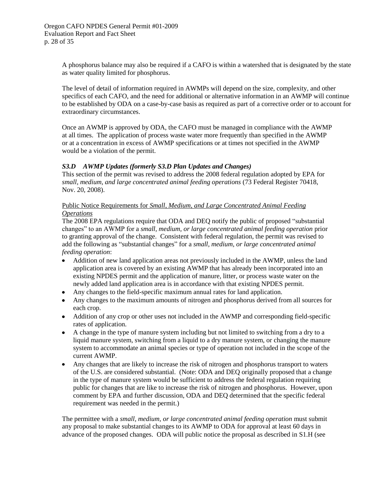A phosphorus balance may also be required if a CAFO is within a watershed that is designated by the state as water quality limited for phosphorus.

The level of detail of information required in AWMPs will depend on the size, complexity, and other specifics of each CAFO, and the need for additional or alternative information in an AWMP will continue to be established by ODA on a case-by-case basis as required as part of a corrective order or to account for extraordinary circumstances.

Once an AWMP is approved by ODA, the CAFO must be managed in compliance with the AWMP at all times. The application of process waste water more frequently than specified in the AWMP or at a concentration in excess of AWMP specifications or at times not specified in the AWMP would be a violation of the permit.

## <span id="page-30-0"></span>*S3.D AWMP Updates (formerly S3.D Plan Updates and Changes)*

This section of the permit was revised to address the 2008 federal regulation adopted by EPA for *small, medium, and large concentrated animal feeding operations* (73 Federal Register 70418, Nov. 20, 2008).

## Public Notice Requirements for *Small, Medium, and Large Concentrated Animal Feeding Operations*

The 2008 EPA regulations require that ODA and DEQ notify the public of proposed "substantial changes" to an AWMP for a *small, medium, or large concentrated animal feeding operation* prior to granting approval of the change. Consistent with federal regulation, the permit was revised to add the following as "substantial changes" for a *small, medium, or large concentrated animal feeding operation*:

- Addition of new land application areas not previously included in the AWMP, unless the land application area is covered by an existing AWMP that has already been incorporated into an existing NPDES permit and the application of manure, litter, or process waste water on the newly added land application area is in accordance with that existing NPDES permit.
- Any changes to the field-specific maximum annual rates for land application.
- Any changes to the maximum amounts of nitrogen and phosphorus derived from all sources for each crop.
- Addition of any crop or other uses not included in the AWMP and corresponding field-specific rates of application.
- A change in the type of manure system including but not limited to switching from a dry to a liquid manure system, switching from a liquid to a dry manure system, or changing the manure system to accommodate an animal species or type of operation not included in the scope of the current AWMP.
- Any changes that are likely to increase the risk of nitrogen and phosphorus transport to waters of the U.S. are considered substantial. (Note: ODA and DEQ originally proposed that a change in the type of manure system would be sufficient to address the federal regulation requiring public for changes that are like to increase the risk of nitrogen and phosphorus. However, upon comment by EPA and further discussion, ODA and DEQ determined that the specific federal requirement was needed in the permit.)

The permittee with a *small, medium, or large concentrated animal feeding operation* must submit any proposal to make substantial changes to its AWMP to ODA for approval at least 60 days in advance of the proposed changes. ODA will public notice the proposal as described in S1.H (see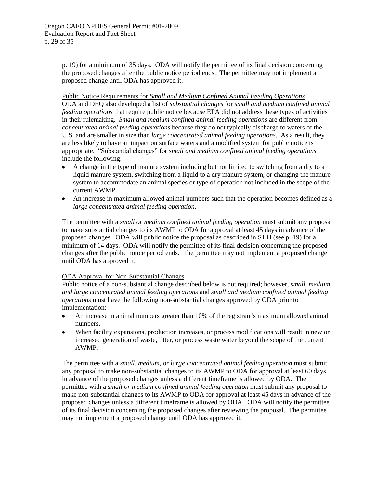p. [19\)](#page-21-0) for a minimum of 35 days. ODA will notify the permittee of its final decision concerning the proposed changes after the public notice period ends. The permittee may not implement a proposed change until ODA has approved it.

Public Notice Requirements for *Small and Medium Confined Animal Feeding Operations*

ODA and DEQ also developed a list of *substantial changes* for *small and medium confined animal feeding operations* that require public notice because EPA did not address these types of activities in their rulemaking. *Small and medium confined animal feeding operations* are different from *concentrated animal feeding operations* because they do not typically discharge to waters of the U.S. and are smaller in size than *large concentrated animal feeding operations*. As a result, they are less likely to have an impact on surface waters and a modified system for public notice is appropriate. "Substantial changes" for *small and medium confined animal feeding operations* include the following:

- A change in the type of manure system including but not limited to switching from a dry to a  $\bullet$ liquid manure system, switching from a liquid to a dry manure system, or changing the manure system to accommodate an animal species or type of operation not included in the scope of the current AWMP.
- An increase in maximum allowed animal numbers such that the operation becomes defined as a *large concentrated animal feeding operation*.

The permittee with a *small or medium confined animal feeding operation* must submit any proposal to make substantial changes to its AWMP to ODA for approval at least 45 days in advance of the proposed changes. ODA will public notice the proposal as described in S1.H (see p. [19\)](#page-21-0) for a minimum of 14 days. ODA will notify the permittee of its final decision concerning the proposed changes after the public notice period ends. The permittee may not implement a proposed change until ODA has approved it.

## ODA Approval for Non-Substantial Changes

Public notice of a non-substantial change described below is not required; however, *small, medium, and large concentrated animal feeding operations* and *small and medium confined animal feeding operations* must have the following non-substantial changes approved by ODA prior to implementation:

- An increase in animal numbers greater than 10% of the registrant's maximum allowed animal  $\bullet$ numbers.
- When facility expansions, production increases, or process modifications will result in new or increased generation of waste, litter, or process waste water beyond the scope of the current AWMP.

The permittee with a *small, medium, or large concentrated animal feeding operation* must submit any proposal to make non-substantial changes to its AWMP to ODA for approval at least 60 days in advance of the proposed changes unless a different timeframe is allowed by ODA. The permittee with a *small or medium confined animal feeding operation* must submit any proposal to make non-substantial changes to its AWMP to ODA for approval at least 45 days in advance of the proposed changes unless a different timeframe is allowed by ODA. ODA will notify the permittee of its final decision concerning the proposed changes after reviewing the proposal. The permittee may not implement a proposed change until ODA has approved it.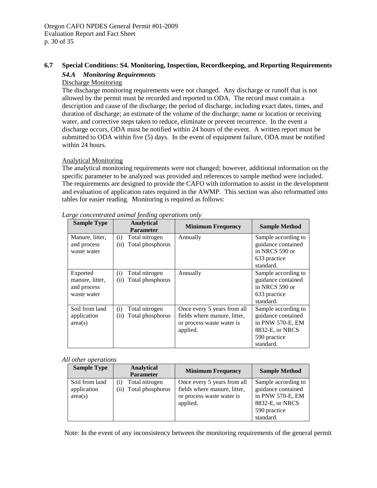#### <span id="page-32-1"></span><span id="page-32-0"></span>**6.7 Special Conditions: S4. Monitoring, Inspection, Recordkeeping, and Reporting Requirements**

## *S4.A Monitoring Requirements*

## Discharge Monitoring

The discharge monitoring requirements were not changed. Any discharge or runoff that is not allowed by the permit must be recorded and reported to ODA. The record must contain a description and cause of the discharge; the period of discharge, including exact dates, times, and duration of discharge; an estimate of the volume of the discharge; name or location or receiving water, and corrective steps taken to reduce, eliminate or prevent recurrence. In the event a discharge occurs, ODA must be notified within 24 hours of the event. A written report must be submitted to ODA within five (5) days. In the event of equipment failure, ODA must be notified within 24 hours.

#### Analytical Monitoring

The analytical monitoring requirements were not changed; however, additional information on the specific parameter to be analyzed was provided and references to sample method were included. The requirements are designed to provide the CAFO with information to assist in the development and evaluation of application rates required in the AWMP. This section was also reformatted into tables for easier reading. Monitoring is required as follows:

| <b>Sample Type</b>                                        | <b>Analytical</b><br><b>Parameter</b>             | <b>Minimum Frequency</b>                                                                             | <b>Sample Method</b>                                                                                          |
|-----------------------------------------------------------|---------------------------------------------------|------------------------------------------------------------------------------------------------------|---------------------------------------------------------------------------------------------------------------|
| Manure, litter,<br>and process<br>waste water             | Total nitrogen<br>(i)<br>Total phosphorus<br>(ii) | Annually                                                                                             | Sample according to<br>guidance contained<br>in NRCS 590 or<br>633 practice<br>standard.                      |
| Exported<br>manure, litter,<br>and process<br>waste water | Total nitrogen<br>(i)<br>Total phosphorus<br>(ii) | Annually                                                                                             | Sample according to<br>guidance contained<br>in NRCS 590 or<br>633 practice<br>standard.                      |
| Soil from land<br>application<br>area(s)                  | Total nitrogen<br>(i)<br>Total phosphorus<br>(ii) | Once every 5 years from all<br>fields where manure, litter,<br>or process waste water is<br>applied. | Sample according to<br>guidance contained<br>in PNW 570-E, EM<br>8832-E, or NRCS<br>590 practice<br>standard. |

*Large concentrated animal feeding operations only*

#### *All other operations*

| <b>Sample Type</b>                       | Analytical<br><b>Parameter</b>          | <b>Minimum Frequency</b>                                                                             | <b>Sample Method</b>                                                                                          |
|------------------------------------------|-----------------------------------------|------------------------------------------------------------------------------------------------------|---------------------------------------------------------------------------------------------------------------|
| Soil from land<br>application<br>area(s) | Total nitrogen<br>(ii) Total phosphorus | Once every 5 years from all<br>fields where manure, litter,<br>or process waste water is<br>applied. | Sample according to<br>guidance contained<br>in PNW 570-E, EM<br>8832-E, or NRCS<br>590 practice<br>standard. |

Note: In the event of any inconsistency between the monitoring requirements of the general permit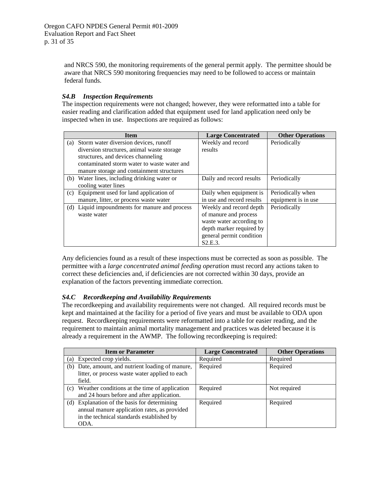and NRCS 590, the monitoring requirements of the general permit apply. The permittee should be aware that NRCS 590 monitoring frequencies may need to be followed to access or maintain federal funds.

## <span id="page-33-0"></span>*S4.B Inspection Requirements*

The inspection requirements were not changed; however, they were reformatted into a table for easier reading and clarification added that equipment used for land application need only be inspected when in use. Inspections are required as follows:

| <b>Item</b>                                    | <b>Large Concentrated</b> | <b>Other Operations</b> |
|------------------------------------------------|---------------------------|-------------------------|
| (a) Storm water diversion devices, runoff      | Weekly and record         | Periodically            |
| diversion structures, animal waste storage     | results                   |                         |
| structures, and devices channeling             |                           |                         |
| contaminated storm water to waste water and    |                           |                         |
| manure storage and containment structures      |                           |                         |
| (b) Water lines, including drinking water or   | Daily and record results  | Periodically            |
| cooling water lines                            |                           |                         |
| (c) Equipment used for land application of     | Daily when equipment is   | Periodically when       |
| manure, litter, or process waste water         | in use and record results | equipment is in use     |
| (d) Liquid impoundments for manure and process | Weekly and record depth   | Periodically            |
| waste water                                    | of manure and process     |                         |
|                                                | waste water according to  |                         |
|                                                | depth marker required by  |                         |
|                                                | general permit condition  |                         |
|                                                | S2.E.3.                   |                         |

Any deficiencies found as a result of these inspections must be corrected as soon as possible. The permittee with a *large concentrated animal feeding operation* must record any actions taken to correct these deficiencies and, if deficiencies are not corrected within 30 days, provide an explanation of the factors preventing immediate correction.

## <span id="page-33-1"></span>*S4.C Recordkeeping and Availability Requirements*

The recordkeeping and availability requirements were not changed. All required records must be kept and maintained at the facility for a period of five years and must be available to ODA upon request. Recordkeeping requirements were reformatted into a table for easier reading, and the requirement to maintain animal mortality management and practices was deleted because it is already a requirement in the AWMP. The following recordkeeping is required:

|     | <b>Item or Parameter</b>                                                                                                                          | <b>Large Concentrated</b> | <b>Other Operations</b> |
|-----|---------------------------------------------------------------------------------------------------------------------------------------------------|---------------------------|-------------------------|
| (a) | Expected crop yields.                                                                                                                             | Required                  | Required                |
| (b) | Date, amount, and nutrient loading of manure,<br>litter, or process waste water applied to each<br>field.                                         | Required                  | Required                |
| (c) | Weather conditions at the time of application<br>and 24 hours before and after application.                                                       | Required                  | Not required            |
|     | (d) Explanation of the basis for determining<br>annual manure application rates, as provided<br>in the technical standards established by<br>ODA. | Required                  | Required                |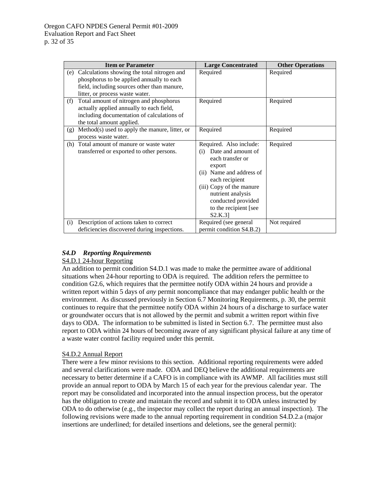| <b>Item or Parameter</b> |                                                                                                                                                                                | <b>Large Concentrated</b>                                                                                                                                                                                                                               | <b>Other Operations</b> |
|--------------------------|--------------------------------------------------------------------------------------------------------------------------------------------------------------------------------|---------------------------------------------------------------------------------------------------------------------------------------------------------------------------------------------------------------------------------------------------------|-------------------------|
|                          | (e) Calculations showing the total nitrogen and<br>phosphorus to be applied annually to each<br>field, including sources other than manure,<br>litter, or process waste water. | Required                                                                                                                                                                                                                                                | Required                |
| (f)                      | Total amount of nitrogen and phosphorus<br>actually applied annually to each field,<br>including documentation of calculations of<br>the total amount applied.                 | Required                                                                                                                                                                                                                                                | Required                |
| (g)                      | $Method(s)$ used to apply the manure, litter, or<br>process waste water.                                                                                                       | Required                                                                                                                                                                                                                                                | Required                |
| (h)                      | Total amount of manure or waste water<br>transferred or exported to other persons.                                                                                             | Required. Also include:<br>Date and amount of<br>(i)<br>each transfer or<br>export<br>(ii) Name and address of<br>each recipient<br>(iii) Copy of the manure<br>nutrient analysis<br>conducted provided<br>to the recipient [see<br>S <sub>2</sub> .K.3 | Required                |
| (i)                      | Description of actions taken to correct<br>deficiencies discovered during inspections.                                                                                         | Required (see general<br>permit condition S4.B.2)                                                                                                                                                                                                       | Not required            |

## <span id="page-34-0"></span>*S4.D Reporting Requirements*

## S4.D.1 24-hour Reporting

An addition to permit condition S4.D.1 was made to make the permittee aware of additional situations when 24-hour reporting to ODA is required. The addition refers the permittee to condition G2.6, which requires that the permittee notify ODA within 24 hours and provide a written report within 5 days of *any* permit noncompliance that may endanger public health or the environment. As discussed previously in Section [6.7](#page-32-0) Monitoring Requirements, p[. 30,](#page-32-0) the permit continues to require that the permittee notify ODA within 24 hours of a discharge to surface water or groundwater occurs that is not allowed by the permit and submit a written report within five days to ODA. The information to be submitted is listed in Section [6.7.](#page-32-0) The permittee must also report to ODA within 24 hours of becoming aware of any significant physical failure at any time of a waste water control facility required under this permit.

## S4.D.2 Annual Report

There were a few minor revisions to this section. Additional reporting requirements were added and several clarifications were made. ODA and DEQ believe the additional requirements are necessary to better determine if a CAFO is in compliance with its AWMP. All facilities must still provide an annual report to ODA by March 15 of each year for the previous calendar year. The report may be consolidated and incorporated into the annual inspection process, but the operator has the obligation to create and maintain the record and submit it to ODA unless instructed by ODA to do otherwise (e.g., the inspector may collect the report during an annual inspection). The following revisions were made to the annual reporting requirement in condition S4.D.2.a (major insertions are underlined; for detailed insertions and deletions, see the general permit):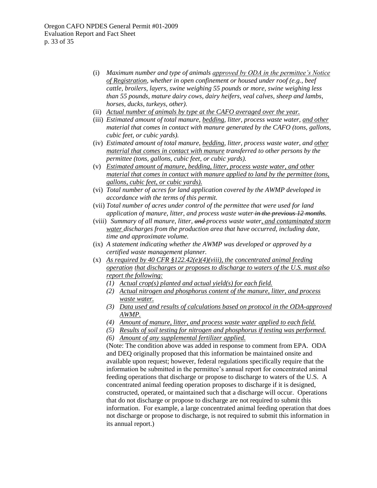- (i) *Maximum number and type of animals approved by ODA in the permittee's Notice of Registration, whether in open confinement or housed under roof (e.g., beef cattle, broilers, layers, swine weighing 55 pounds or more, swine weighing less than 55 pounds, mature dairy cows, dairy heifers, veal calves, sheep and lambs, horses, ducks, turkeys, other).*
- (ii) *Actual number of animals by type at the CAFO averaged over the year.*
- (iii) *Estimated amount of total manure, bedding, litter, process waste water, and other material that comes in contact with manure generated by the CAFO (tons, gallons, cubic feet, or cubic yards).*
- (iv) *Estimated amount of total manure, bedding, litter, process waste water, and other material that comes in contact with manure transferred to other persons by the permittee (tons, gallons, cubic feet, or cubic yards).*
- (v) *Estimated amount of manure, bedding, litter, process waste water, and other material that comes in contact with manure applied to land by the permittee (tons, gallons, cubic feet, or cubic yards).*
- (vi) *Total number of acres for land application covered by the AWMP developed in accordance with the terms of this permit.*
- (vii) *Total number of acres under control of the permittee that were used for land application of manure, litter, and process waste water in the previous 12 months.*
- (viii) *Summary of all manure, litter, and process waste water, and contaminated storm water discharges from the production area that have occurred, including date, time and approximate volume.*
- (ix) *A statement indicating whether the AWMP was developed or approved by a certified waste management planner.*
- (x) *As required by 40 CFR §122.42(e)(4)(viii), the concentrated animal feeding operation that discharges or proposes to discharge to waters of the U.S. must also report the following:*
	- *(1) Actual crop(s) planted and actual yield(s) for each field.*
	- *(2) Actual nitrogen and phosphorus content of the manure, litter, and process waste water.*
	- *(3) Data used and results of calculations based on protocol in the ODA-approved AWMP.*
	- *(4) Amount of manure, litter, and process waste water applied to each field.*
	- *(5) Results of soil testing for nitrogen and phosphorus if testing was performed.*
	- *(6) Amount of any supplemental fertilizer applied.*

(Note: The condition above was added in response to comment from EPA. ODA and DEQ originally proposed that this information be maintained onsite and available upon request; however, federal regulations specifically require that the information be submitted in the permittee's annual report for concentrated animal feeding operations that discharge or propose to discharge to waters of the U.S. A concentrated animal feeding operation proposes to discharge if it is designed, constructed, operated, or maintained such that a discharge will occur. Operations that do not discharge or propose to discharge are not required to submit this information. For example, a large concentrated animal feeding operation that does not discharge or propose to discharge, is not required to submit this information in its annual report.)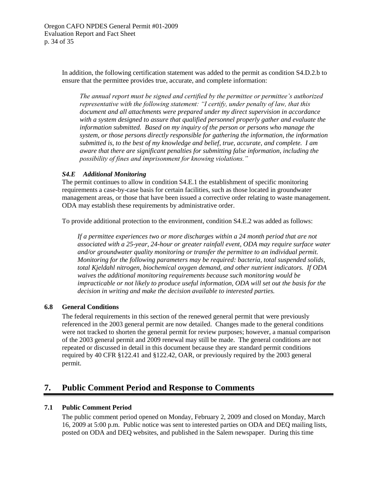In addition, the following certification statement was added to the permit as condition S4.D.2.b to ensure that the permittee provides true, accurate, and complete information:

*The annual report must be signed and certified by the permittee or permittee's authorized representative with the following statement: "I certify, under penalty of law, that this document and all attachments were prepared under my direct supervision in accordance with a system designed to assure that qualified personnel properly gather and evaluate the information submitted. Based on my inquiry of the person or persons who manage the system, or those persons directly responsible for gathering the information, the information submitted is, to the best of my knowledge and belief, true, accurate, and complete. I am aware that there are significant penalties for submitting false information, including the possibility of fines and imprisonment for knowing violations."*

## <span id="page-36-3"></span>*S4.E Additional Monitoring*

The permit continues to allow in condition S4.E.1 the establishment of specific monitoring requirements a case-by-case basis for certain facilities, such as those located in groundwater management areas, or those that have been issued a corrective order relating to waste management. ODA may establish these requirements by administrative order.

To provide additional protection to the environment, condition S4.E.2 was added as follows:

*If a permittee experiences two or more discharges within a 24 month period that are not associated with a 25-year, 24-hour or greater rainfall event, ODA may require surface water and/or groundwater quality monitoring or transfer the permittee to an individual permit. Monitoring for the following parameters may be required: bacteria, total suspended solids, total Kjeldahl nitrogen, biochemical oxygen demand, and other nutrient indicators. If ODA waives the additional monitoring requirements because such monitoring would be impracticable or not likely to produce useful information, ODA will set out the basis for the decision in writing and make the decision available to interested parties.*

## <span id="page-36-0"></span>**6.8 General Conditions**

The federal requirements in this section of the renewed general permit that were previously referenced in the 2003 general permit are now detailed. Changes made to the general conditions were not tracked to shorten the general permit for review purposes; however, a manual comparison of the 2003 general permit and 2009 renewal may still be made. The general conditions are not repeated or discussed in detail in this document because they are standard permit conditions required by 40 CFR §122.41 and §122.42, OAR, or previously required by the 2003 general permit.

## <span id="page-36-1"></span>**7. Public Comment Period and Response to Comments**

## <span id="page-36-2"></span>**7.1 Public Comment Period**

The public comment period opened on Monday, February 2, 2009 and closed on Monday, March 16, 2009 at 5:00 p.m. Public notice was sent to interested parties on ODA and DEQ mailing lists, posted on ODA and DEQ websites, and published in the Salem newspaper. During this time